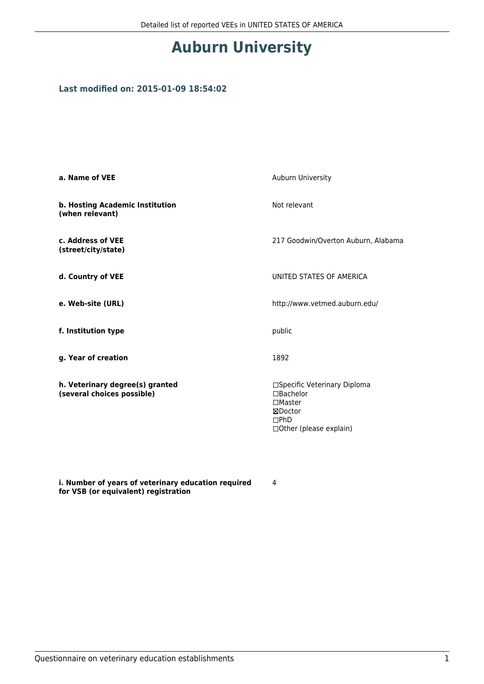# **Auburn University**

### **Last modified on: 2015-01-09 18:54:02**

| a. Name of VEE                                                | Auburn University                                                                                                  |  |
|---------------------------------------------------------------|--------------------------------------------------------------------------------------------------------------------|--|
| b. Hosting Academic Institution<br>(when relevant)            | Not relevant                                                                                                       |  |
| c. Address of VEE<br>(street/city/state)                      | 217 Goodwin/Overton Auburn, Alabama                                                                                |  |
| d. Country of VEE                                             | UNITED STATES OF AMERICA                                                                                           |  |
| e. Web-site (URL)                                             | http://www.vetmed.auburn.edu/                                                                                      |  |
| f. Institution type                                           | public                                                                                                             |  |
| g. Year of creation                                           | 1892                                                                                                               |  |
| h. Veterinary degree(s) granted<br>(several choices possible) | □Specific Veterinary Diploma<br>$\Box$ Bachelor<br>$\square$ Master<br>⊠Doctor<br>DPhD<br>□ Other (please explain) |  |

**i. Number of years of veterinary education required for VSB (or equivalent) registration**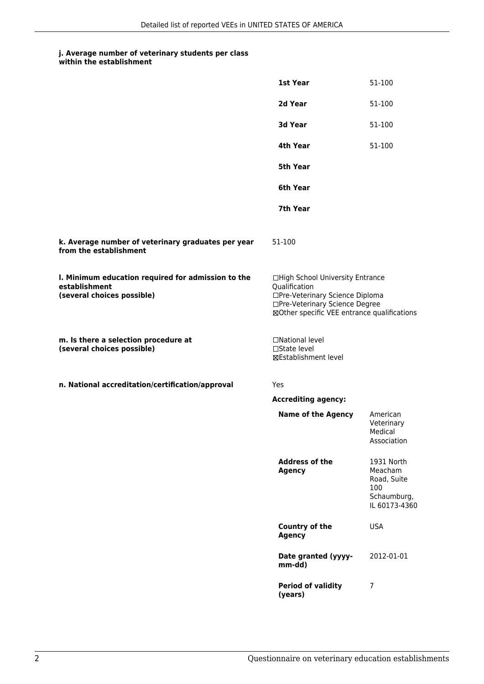#### **j. Average number of veterinary students per class within the establishment**

|                                                                                                   | 1st Year                                                                                                                                                              | 51-100                                                                      |
|---------------------------------------------------------------------------------------------------|-----------------------------------------------------------------------------------------------------------------------------------------------------------------------|-----------------------------------------------------------------------------|
|                                                                                                   | 2d Year                                                                                                                                                               | 51-100                                                                      |
|                                                                                                   | <b>3d Year</b>                                                                                                                                                        | 51-100                                                                      |
|                                                                                                   | 4th Year                                                                                                                                                              | 51-100                                                                      |
|                                                                                                   | 5th Year                                                                                                                                                              |                                                                             |
|                                                                                                   | 6th Year                                                                                                                                                              |                                                                             |
|                                                                                                   | 7th Year                                                                                                                                                              |                                                                             |
| k. Average number of veterinary graduates per year<br>from the establishment                      | 51-100                                                                                                                                                                |                                                                             |
| I. Minimum education required for admission to the<br>establishment<br>(several choices possible) | □High School University Entrance<br>Qualification<br>□Pre-Veterinary Science Diploma<br>□Pre-Veterinary Science Degree<br>⊠Other specific VEE entrance qualifications |                                                                             |
| m. Is there a selection procedure at<br>(several choices possible)                                | □National level<br>□State level<br>⊠Establishment level                                                                                                               |                                                                             |
| n. National accreditation/certification/approval                                                  | Yes                                                                                                                                                                   |                                                                             |
|                                                                                                   | <b>Accrediting agency:</b>                                                                                                                                            |                                                                             |
|                                                                                                   | <b>Name of the Agency</b>                                                                                                                                             | American<br>Veterinary<br>Medical<br>Association                            |
|                                                                                                   | <b>Address of the</b><br><b>Agency</b>                                                                                                                                | 1931 North<br>Meacham<br>Road, Suite<br>100<br>Schaumburg,<br>IL 60173-4360 |
|                                                                                                   | Country of the<br><b>Agency</b>                                                                                                                                       | <b>USA</b>                                                                  |
|                                                                                                   | Date granted (yyyy-<br>mm-dd)                                                                                                                                         | 2012-01-01                                                                  |
|                                                                                                   | <b>Period of validity</b><br>(years)                                                                                                                                  | $\overline{7}$                                                              |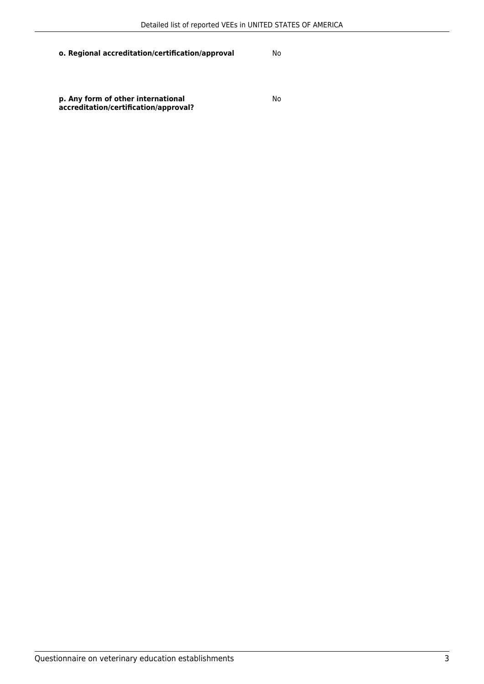**p. Any form of other international accreditation/certification/approval?**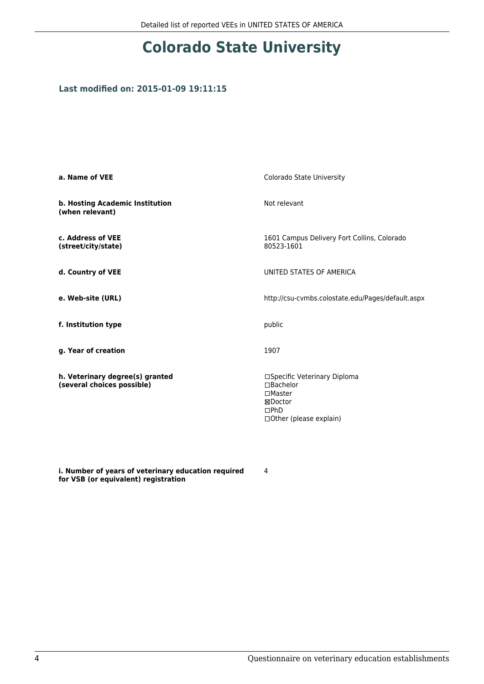# **Colorado State University**

### **Last modified on: 2015-01-09 19:11:15**

| a. Name of VEE                                                | Colorado State University                                                                                                   |
|---------------------------------------------------------------|-----------------------------------------------------------------------------------------------------------------------------|
| b. Hosting Academic Institution<br>(when relevant)            | Not relevant                                                                                                                |
| c. Address of VEE<br>(street/city/state)                      | 1601 Campus Delivery Fort Collins, Colorado<br>80523-1601                                                                   |
| d. Country of VEE                                             | UNITED STATES OF AMERICA                                                                                                    |
| e. Web-site (URL)                                             | http://csu-cvmbs.colostate.edu/Pages/default.aspx                                                                           |
| f. Institution type                                           | public                                                                                                                      |
| g. Year of creation                                           | 1907                                                                                                                        |
| h. Veterinary degree(s) granted<br>(several choices possible) | □Specific Veterinary Diploma<br>$\Box$ Bachelor<br>$\square$ Master<br>⊠Doctor<br>$\square$ PhD<br>□ Other (please explain) |

**i. Number of years of veterinary education required for VSB (or equivalent) registration**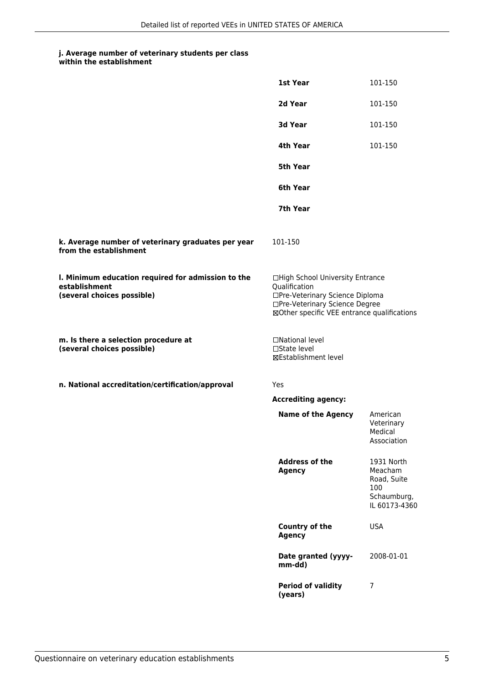| within the establishment |
|--------------------------|
|                          |

|                                                                                                   | 1st Year                                                                                                                                                              | 101-150                                                                     |
|---------------------------------------------------------------------------------------------------|-----------------------------------------------------------------------------------------------------------------------------------------------------------------------|-----------------------------------------------------------------------------|
|                                                                                                   | 2d Year                                                                                                                                                               | 101-150                                                                     |
|                                                                                                   | 3d Year                                                                                                                                                               | 101-150                                                                     |
|                                                                                                   | 4th Year                                                                                                                                                              | 101-150                                                                     |
|                                                                                                   | 5th Year                                                                                                                                                              |                                                                             |
|                                                                                                   | 6th Year                                                                                                                                                              |                                                                             |
|                                                                                                   | 7th Year                                                                                                                                                              |                                                                             |
| k. Average number of veterinary graduates per year<br>from the establishment                      | 101-150                                                                                                                                                               |                                                                             |
| I. Minimum education required for admission to the<br>establishment<br>(several choices possible) | □High School University Entrance<br>Qualification<br>□Pre-Veterinary Science Diploma<br>□Pre-Veterinary Science Degree<br>⊠Other specific VEE entrance qualifications |                                                                             |
| m. Is there a selection procedure at<br>(several choices possible)                                | □National level<br>$\Box$ State level<br><b>⊠Establishment level</b>                                                                                                  |                                                                             |
| n. National accreditation/certification/approval                                                  | Yes                                                                                                                                                                   |                                                                             |
|                                                                                                   | <b>Accrediting agency:</b>                                                                                                                                            |                                                                             |
|                                                                                                   | <b>Name of the Agency</b>                                                                                                                                             | American<br>Veterinary<br>Medical<br>Association                            |
|                                                                                                   | <b>Address of the</b><br><b>Agency</b>                                                                                                                                | 1931 North<br>Meacham<br>Road, Suite<br>100<br>Schaumburg,<br>IL 60173-4360 |
|                                                                                                   | Country of the<br><b>Agency</b>                                                                                                                                       | <b>USA</b>                                                                  |
|                                                                                                   | Date granted (yyyy-<br>mm-dd)                                                                                                                                         | 2008-01-01                                                                  |
|                                                                                                   | <b>Period of validity</b><br>(years)                                                                                                                                  | 7                                                                           |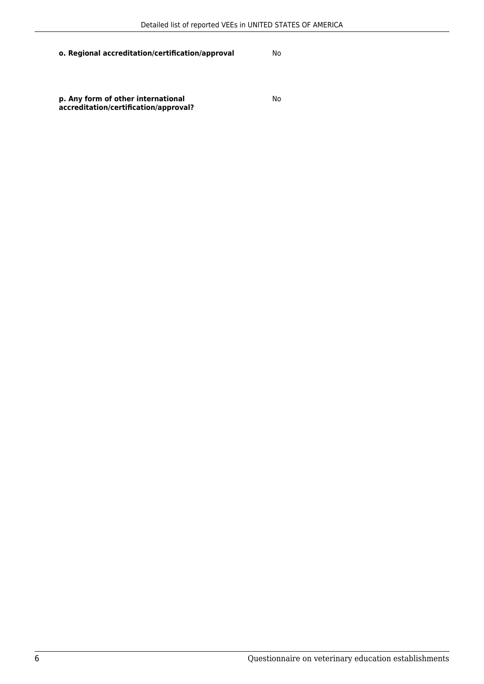**p. Any form of other international accreditation/certification/approval?**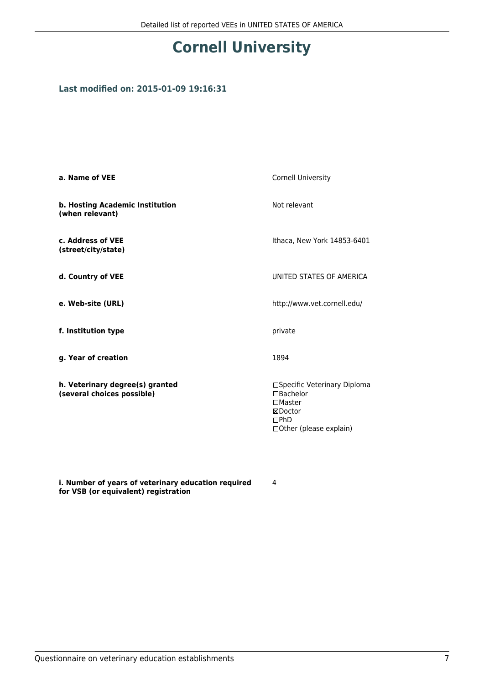# **Cornell University**

### **Last modified on: 2015-01-09 19:16:31**

| a. Name of VEE                                                | Cornell University                                                                                        |
|---------------------------------------------------------------|-----------------------------------------------------------------------------------------------------------|
| b. Hosting Academic Institution<br>(when relevant)            | Not relevant                                                                                              |
| c. Address of VEE<br>(street/city/state)                      | Ithaca, New York 14853-6401                                                                               |
| d. Country of VEE                                             | UNITED STATES OF AMERICA                                                                                  |
| e. Web-site (URL)                                             | http://www.vet.cornell.edu/                                                                               |
| f. Institution type                                           | private                                                                                                   |
| g. Year of creation                                           | 1894                                                                                                      |
| h. Veterinary degree(s) granted<br>(several choices possible) | □Specific Veterinary Diploma<br>□Bachelor<br>$\Box$ Master<br>⊠Doctor<br>DPhD<br>□ Other (please explain) |

**i. Number of years of veterinary education required for VSB (or equivalent) registration**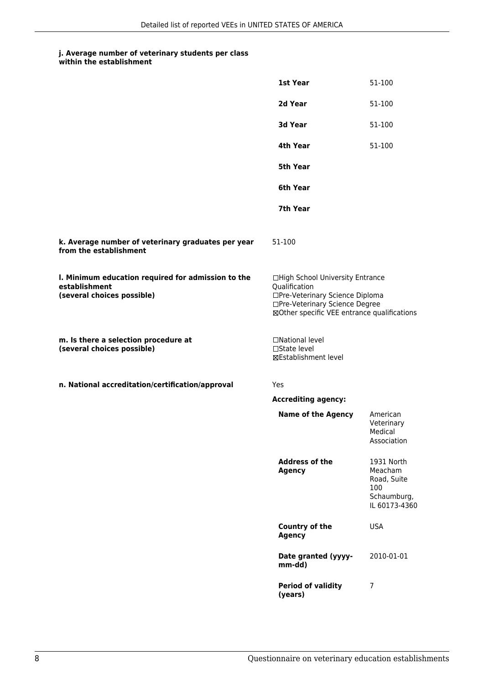#### **j. Average number of veterinary students per class within the establishment**

|                                                                                                   | 1st Year                                                                                                                                                              | 51-100                                                                      |
|---------------------------------------------------------------------------------------------------|-----------------------------------------------------------------------------------------------------------------------------------------------------------------------|-----------------------------------------------------------------------------|
|                                                                                                   | 2d Year                                                                                                                                                               | 51-100                                                                      |
|                                                                                                   | 3d Year                                                                                                                                                               | 51-100                                                                      |
|                                                                                                   | 4th Year                                                                                                                                                              | 51-100                                                                      |
|                                                                                                   | 5th Year                                                                                                                                                              |                                                                             |
|                                                                                                   | 6th Year                                                                                                                                                              |                                                                             |
|                                                                                                   | 7th Year                                                                                                                                                              |                                                                             |
| k. Average number of veterinary graduates per year<br>from the establishment                      | 51-100                                                                                                                                                                |                                                                             |
| I. Minimum education required for admission to the<br>establishment<br>(several choices possible) | □High School University Entrance<br>Qualification<br>□Pre-Veterinary Science Diploma<br>□Pre-Veterinary Science Degree<br>⊠Other specific VEE entrance qualifications |                                                                             |
| m. Is there a selection procedure at<br>(several choices possible)                                | □National level<br>□State level<br>⊠Establishment level                                                                                                               |                                                                             |
| n. National accreditation/certification/approval                                                  | Yes                                                                                                                                                                   |                                                                             |
|                                                                                                   | <b>Accrediting agency:</b>                                                                                                                                            |                                                                             |
|                                                                                                   | <b>Name of the Agency</b>                                                                                                                                             | American<br>Veterinary<br>Medical<br>Association                            |
|                                                                                                   | <b>Address of the</b><br><b>Agency</b>                                                                                                                                | 1931 North<br>Meacham<br>Road, Suite<br>100<br>Schaumburg,<br>IL 60173-4360 |
|                                                                                                   | Country of the<br><b>Agency</b>                                                                                                                                       | <b>USA</b>                                                                  |
|                                                                                                   | Date granted (yyyy-<br>mm-dd)                                                                                                                                         | 2010-01-01                                                                  |
|                                                                                                   | <b>Period of validity</b><br>(years)                                                                                                                                  | $\overline{7}$                                                              |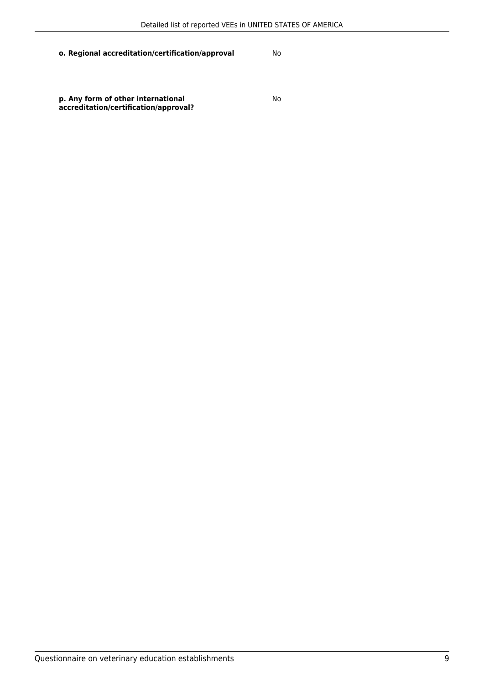**p. Any form of other international accreditation/certification/approval?**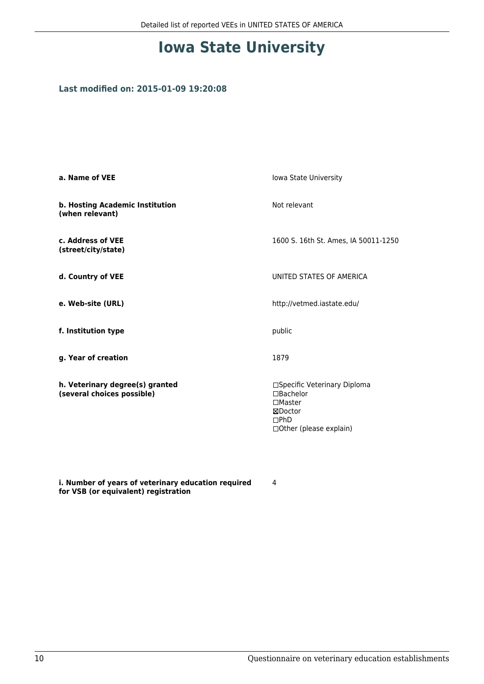# **Iowa State University**

### **Last modified on: 2015-01-09 19:20:08**

| a. Name of VEE                                                | Iowa State University                                                                                           |  |
|---------------------------------------------------------------|-----------------------------------------------------------------------------------------------------------------|--|
| b. Hosting Academic Institution<br>(when relevant)            | Not relevant                                                                                                    |  |
| c. Address of VEE<br>(street/city/state)                      | 1600 S. 16th St. Ames, IA 50011-1250                                                                            |  |
| d. Country of VEE                                             | UNITED STATES OF AMERICA                                                                                        |  |
| e. Web-site (URL)                                             | http://vetmed.iastate.edu/                                                                                      |  |
| f. Institution type                                           | public                                                                                                          |  |
| g. Year of creation                                           | 1879                                                                                                            |  |
| h. Veterinary degree(s) granted<br>(several choices possible) | □Specific Veterinary Diploma<br>$\Box$ Bachelor<br>$\Box$ Master<br>⊠Doctor<br>DPhD<br>□ Other (please explain) |  |

**i. Number of years of veterinary education required for VSB (or equivalent) registration**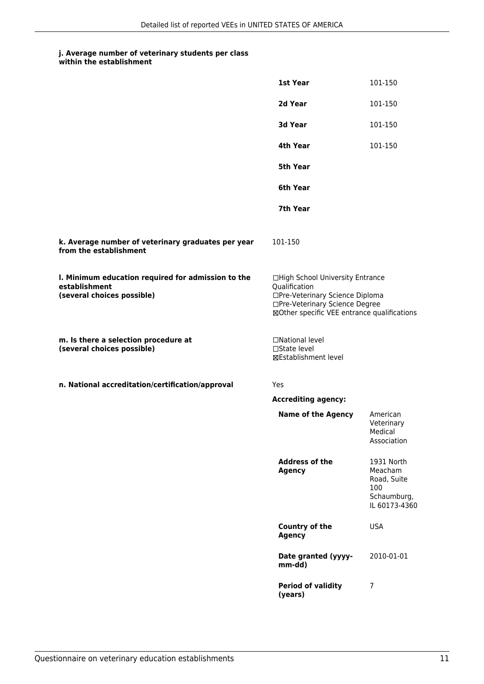| within the establishment |
|--------------------------|
|                          |

|                                                                                                   | 1st Year                                                                                                                                                              | 101-150                                                                     |
|---------------------------------------------------------------------------------------------------|-----------------------------------------------------------------------------------------------------------------------------------------------------------------------|-----------------------------------------------------------------------------|
|                                                                                                   | 2d Year                                                                                                                                                               | 101-150                                                                     |
|                                                                                                   | 3d Year                                                                                                                                                               | 101-150                                                                     |
|                                                                                                   | 4th Year                                                                                                                                                              | 101-150                                                                     |
|                                                                                                   | 5th Year                                                                                                                                                              |                                                                             |
|                                                                                                   | 6th Year                                                                                                                                                              |                                                                             |
|                                                                                                   | 7th Year                                                                                                                                                              |                                                                             |
| k. Average number of veterinary graduates per year<br>from the establishment                      | 101-150                                                                                                                                                               |                                                                             |
| I. Minimum education required for admission to the<br>establishment<br>(several choices possible) | □High School University Entrance<br>Qualification<br>□Pre-Veterinary Science Diploma<br>□Pre-Veterinary Science Degree<br>⊠Other specific VEE entrance qualifications |                                                                             |
| m. Is there a selection procedure at<br>(several choices possible)                                | □National level<br>□State level<br><b>⊠Establishment level</b>                                                                                                        |                                                                             |
| n. National accreditation/certification/approval                                                  | Yes                                                                                                                                                                   |                                                                             |
|                                                                                                   | <b>Accrediting agency:</b>                                                                                                                                            |                                                                             |
|                                                                                                   | <b>Name of the Agency</b>                                                                                                                                             | American<br>Veterinary<br>Medical<br>Association                            |
|                                                                                                   | <b>Address of the</b><br><b>Agency</b>                                                                                                                                | 1931 North<br>Meacham<br>Road, Suite<br>100<br>Schaumburg,<br>IL 60173-4360 |
|                                                                                                   | Country of the<br><b>Agency</b>                                                                                                                                       | <b>USA</b>                                                                  |
|                                                                                                   | Date granted (yyyy-<br>mm-dd)                                                                                                                                         | 2010-01-01                                                                  |
|                                                                                                   | <b>Period of validity</b><br>(years)                                                                                                                                  | 7                                                                           |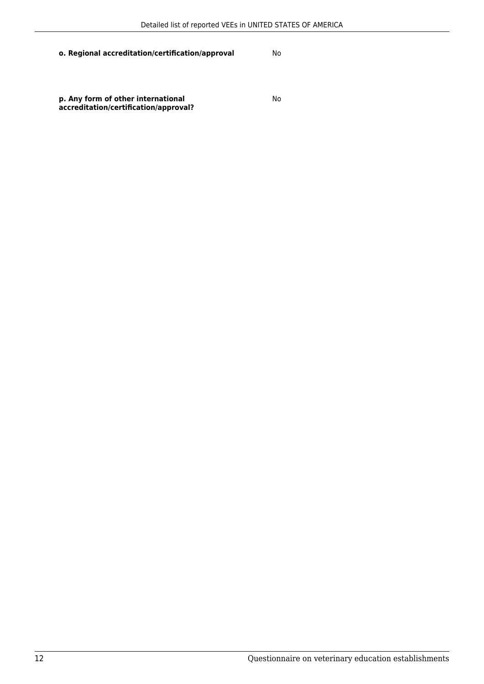**p. Any form of other international accreditation/certification/approval?**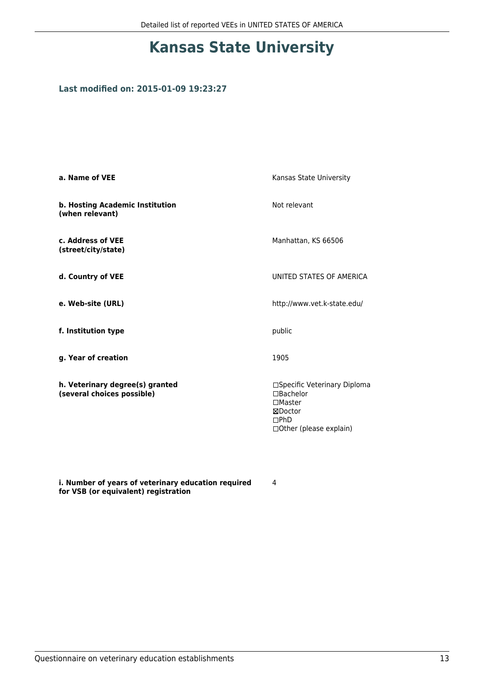# **Kansas State University**

### **Last modified on: 2015-01-09 19:23:27**

| a. Name of VEE                                                | Kansas State University                                                                                            |
|---------------------------------------------------------------|--------------------------------------------------------------------------------------------------------------------|
| b. Hosting Academic Institution<br>(when relevant)            | Not relevant                                                                                                       |
| c. Address of VEE<br>(street/city/state)                      | Manhattan, KS 66506                                                                                                |
| d. Country of VEE                                             | UNITED STATES OF AMERICA                                                                                           |
| e. Web-site (URL)                                             | http://www.vet.k-state.edu/                                                                                        |
| f. Institution type                                           | public                                                                                                             |
| g. Year of creation                                           | 1905                                                                                                               |
| h. Veterinary degree(s) granted<br>(several choices possible) | □Specific Veterinary Diploma<br>$\Box$ Bachelor<br>$\square$ Master<br>⊠Doctor<br>DPhD<br>□ Other (please explain) |

**i. Number of years of veterinary education required for VSB (or equivalent) registration**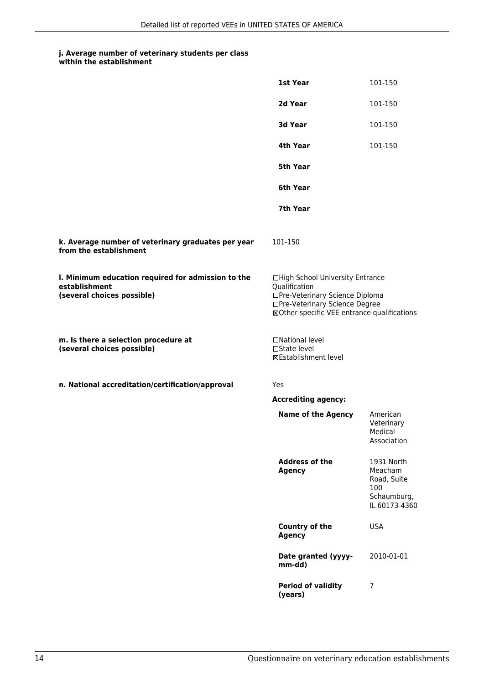|                                                                                                   | 1st Year                                                                                                                                                              | 101-150                                                                     |
|---------------------------------------------------------------------------------------------------|-----------------------------------------------------------------------------------------------------------------------------------------------------------------------|-----------------------------------------------------------------------------|
|                                                                                                   | 2d Year                                                                                                                                                               | 101-150                                                                     |
|                                                                                                   | 3d Year                                                                                                                                                               | 101-150                                                                     |
|                                                                                                   | 4th Year                                                                                                                                                              | 101-150                                                                     |
|                                                                                                   | 5th Year                                                                                                                                                              |                                                                             |
|                                                                                                   | 6th Year                                                                                                                                                              |                                                                             |
|                                                                                                   | 7th Year                                                                                                                                                              |                                                                             |
| k. Average number of veterinary graduates per year<br>from the establishment                      | 101-150                                                                                                                                                               |                                                                             |
| I. Minimum education required for admission to the<br>establishment<br>(several choices possible) | □High School University Entrance<br>Qualification<br>□Pre-Veterinary Science Diploma<br>□Pre-Veterinary Science Degree<br>⊠Other specific VEE entrance qualifications |                                                                             |
| m. Is there a selection procedure at<br>(several choices possible)                                | □National level<br>□State level<br>⊠Establishment level                                                                                                               |                                                                             |
| n. National accreditation/certification/approval                                                  | <b>Yes</b>                                                                                                                                                            |                                                                             |
|                                                                                                   | <b>Accrediting agency:</b>                                                                                                                                            |                                                                             |
|                                                                                                   | <b>Name of the Agency</b>                                                                                                                                             | American<br>Veterinary<br>Medical<br>Association                            |
|                                                                                                   | <b>Address of the</b><br><b>Agency</b>                                                                                                                                | 1931 North<br>Meacham<br>Road, Suite<br>100<br>Schaumburg,<br>IL 60173-4360 |
|                                                                                                   | Country of the<br><b>Agency</b>                                                                                                                                       | <b>USA</b>                                                                  |
|                                                                                                   | Date granted (yyyy-<br>mm-dd)                                                                                                                                         | 2010-01-01                                                                  |
|                                                                                                   | <b>Period of validity</b><br>(years)                                                                                                                                  | 7                                                                           |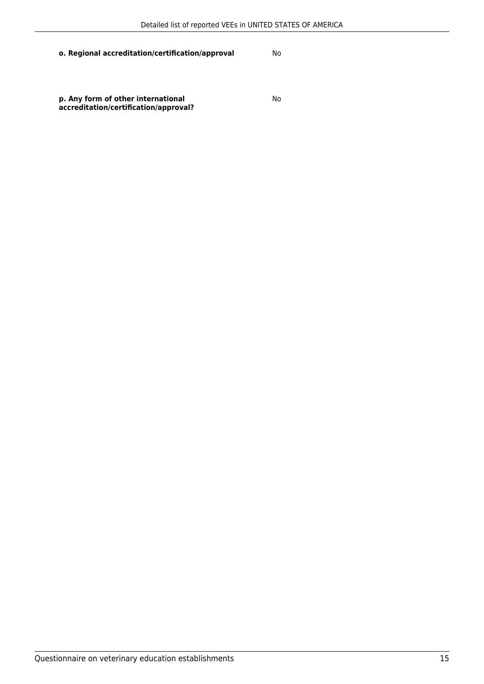**p. Any form of other international accreditation/certification/approval?**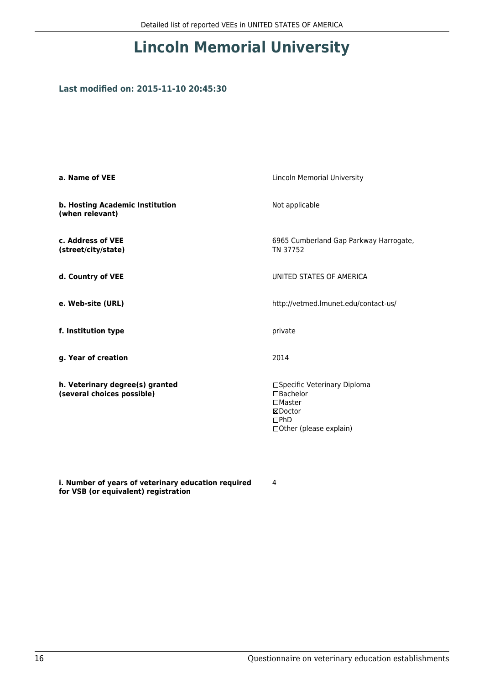# **Lincoln Memorial University**

### **Last modified on: 2015-11-10 20:45:30**

| a. Name of VEE                                                | <b>Lincoln Memorial University</b>                                                                                 |
|---------------------------------------------------------------|--------------------------------------------------------------------------------------------------------------------|
| b. Hosting Academic Institution<br>(when relevant)            | Not applicable                                                                                                     |
| c. Address of VEE<br>(street/city/state)                      | 6965 Cumberland Gap Parkway Harrogate,<br>TN 37752                                                                 |
| d. Country of VEE                                             | UNITED STATES OF AMERICA                                                                                           |
| e. Web-site (URL)                                             | http://vetmed.lmunet.edu/contact-us/                                                                               |
| f. Institution type                                           | private                                                                                                            |
| g. Year of creation                                           | 2014                                                                                                               |
| h. Veterinary degree(s) granted<br>(several choices possible) | □Specific Veterinary Diploma<br>$\Box$ Bachelor<br>$\square$ Master<br>⊠Doctor<br>DPhD<br>□ Other (please explain) |

**i. Number of years of veterinary education required for VSB (or equivalent) registration**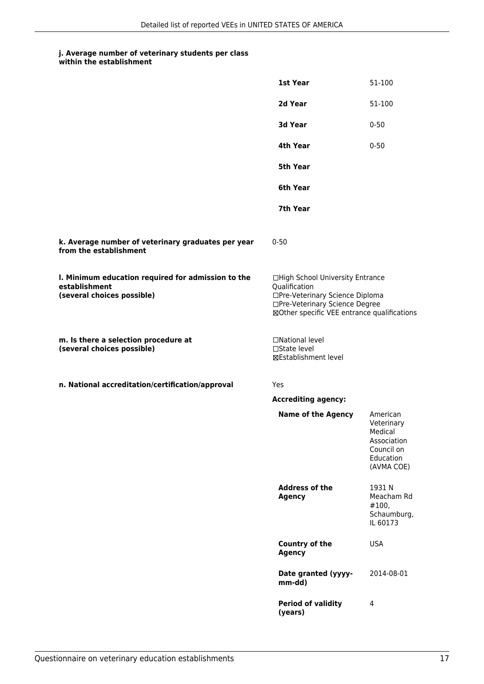#### **j. Average number of veterinary students per class within the establishment**

|                                                                                                   | 1st Year                                                                                                                                                              | 51-100                                                                                    |
|---------------------------------------------------------------------------------------------------|-----------------------------------------------------------------------------------------------------------------------------------------------------------------------|-------------------------------------------------------------------------------------------|
|                                                                                                   | 2d Year                                                                                                                                                               | 51-100                                                                                    |
|                                                                                                   | 3d Year                                                                                                                                                               | $0 - 50$                                                                                  |
|                                                                                                   | 4th Year                                                                                                                                                              | $0 - 50$                                                                                  |
|                                                                                                   | 5th Year                                                                                                                                                              |                                                                                           |
|                                                                                                   | 6th Year                                                                                                                                                              |                                                                                           |
|                                                                                                   | 7th Year                                                                                                                                                              |                                                                                           |
| k. Average number of veterinary graduates per year<br>from the establishment                      | $0 - 50$                                                                                                                                                              |                                                                                           |
| I. Minimum education required for admission to the<br>establishment<br>(several choices possible) | □High School University Entrance<br>Qualification<br>□Pre-Veterinary Science Diploma<br>□Pre-Veterinary Science Degree<br>⊠Other specific VEE entrance qualifications |                                                                                           |
| m. Is there a selection procedure at<br>(several choices possible)                                | □National level<br>$\Box$ State level<br>⊠Establishment level                                                                                                         |                                                                                           |
| n. National accreditation/certification/approval                                                  | Yes                                                                                                                                                                   |                                                                                           |
|                                                                                                   | <b>Accrediting agency:</b>                                                                                                                                            |                                                                                           |
|                                                                                                   | <b>Name of the Agency</b>                                                                                                                                             | American<br>Veterinary<br>Medical<br>Association<br>Council on<br>Education<br>(AVMA COE) |
|                                                                                                   | <b>Address of the</b><br><b>Agency</b>                                                                                                                                | 1931 N<br>Meacham Rd<br>#100,<br>Schaumburg,<br>IL 60173                                  |
|                                                                                                   | Country of the<br><b>Agency</b>                                                                                                                                       | <b>USA</b>                                                                                |
|                                                                                                   | Date granted (yyyy-<br>mm-dd)                                                                                                                                         | 2014-08-01                                                                                |
|                                                                                                   | <b>Period of validity</b><br>(years)                                                                                                                                  | 4                                                                                         |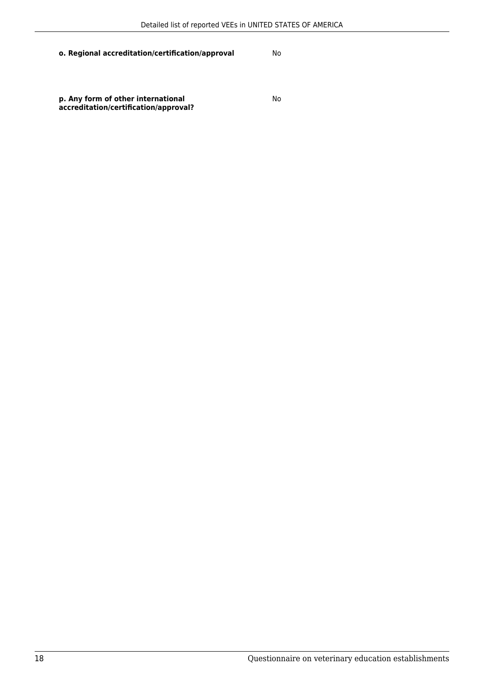**p. Any form of other international accreditation/certification/approval?**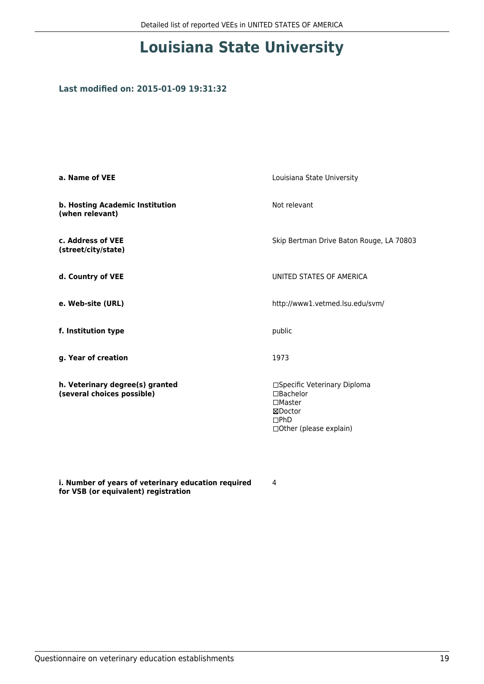# **Louisiana State University**

### **Last modified on: 2015-01-09 19:31:32**

| a. Name of VEE                                                | Louisiana State University                                                                                         |
|---------------------------------------------------------------|--------------------------------------------------------------------------------------------------------------------|
| b. Hosting Academic Institution<br>(when relevant)            | Not relevant                                                                                                       |
| c. Address of VEE<br>(street/city/state)                      | Skip Bertman Drive Baton Rouge, LA 70803                                                                           |
| d. Country of VEE                                             | UNITED STATES OF AMERICA                                                                                           |
| e. Web-site (URL)                                             | http://www1.vetmed.lsu.edu/svm/                                                                                    |
| f. Institution type                                           | public                                                                                                             |
| g. Year of creation                                           | 1973                                                                                                               |
| h. Veterinary degree(s) granted<br>(several choices possible) | □Specific Veterinary Diploma<br>$\Box$ Bachelor<br>$\square$ Master<br>⊠Doctor<br>DPhD<br>□ Other (please explain) |

**i. Number of years of veterinary education required for VSB (or equivalent) registration**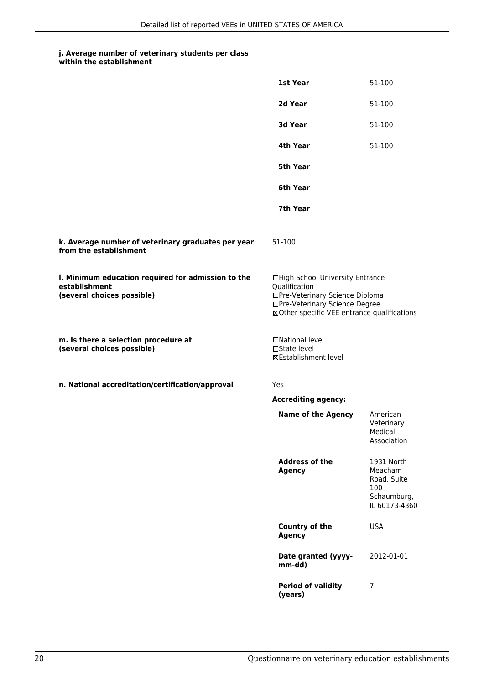#### **j. Average number of veterinary students per class within the establishment**

|                                                                                                   | 1st Year                                                                                                                                                              | 51-100                                                                      |
|---------------------------------------------------------------------------------------------------|-----------------------------------------------------------------------------------------------------------------------------------------------------------------------|-----------------------------------------------------------------------------|
|                                                                                                   | 2d Year                                                                                                                                                               | 51-100                                                                      |
|                                                                                                   | 3d Year                                                                                                                                                               | 51-100                                                                      |
|                                                                                                   | 4th Year                                                                                                                                                              | 51-100                                                                      |
|                                                                                                   | 5th Year                                                                                                                                                              |                                                                             |
|                                                                                                   | 6th Year                                                                                                                                                              |                                                                             |
|                                                                                                   | 7th Year                                                                                                                                                              |                                                                             |
| k. Average number of veterinary graduates per year<br>from the establishment                      | 51-100                                                                                                                                                                |                                                                             |
| I. Minimum education required for admission to the<br>establishment<br>(several choices possible) | □High School University Entrance<br>Qualification<br>□Pre-Veterinary Science Diploma<br>□Pre-Veterinary Science Degree<br>⊠Other specific VEE entrance qualifications |                                                                             |
| m. Is there a selection procedure at<br>(several choices possible)                                | □National level<br>□State level<br>⊠Establishment level                                                                                                               |                                                                             |
| n. National accreditation/certification/approval                                                  | Yes                                                                                                                                                                   |                                                                             |
|                                                                                                   | <b>Accrediting agency:</b>                                                                                                                                            |                                                                             |
|                                                                                                   | <b>Name of the Agency</b>                                                                                                                                             | American<br>Veterinary<br>Medical<br>Association                            |
|                                                                                                   | <b>Address of the</b><br><b>Agency</b>                                                                                                                                | 1931 North<br>Meacham<br>Road, Suite<br>100<br>Schaumburg,<br>IL 60173-4360 |
|                                                                                                   | Country of the<br><b>Agency</b>                                                                                                                                       | <b>USA</b>                                                                  |
|                                                                                                   | Date granted (yyyy-<br>mm-dd)                                                                                                                                         | 2012-01-01                                                                  |
|                                                                                                   | <b>Period of validity</b><br>(years)                                                                                                                                  | 7                                                                           |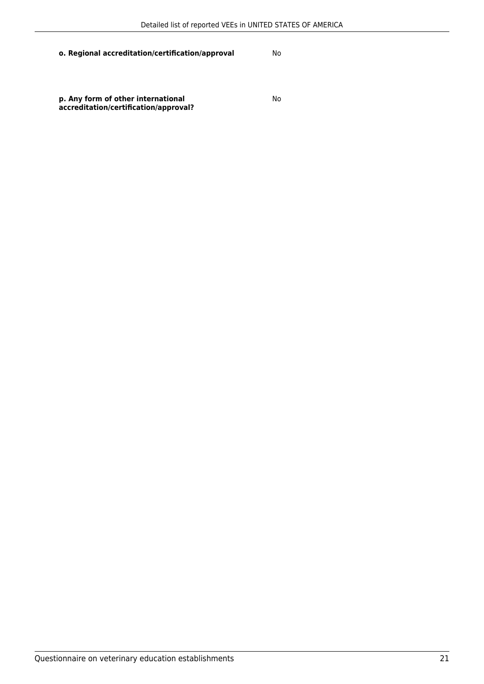**p. Any form of other international accreditation/certification/approval?**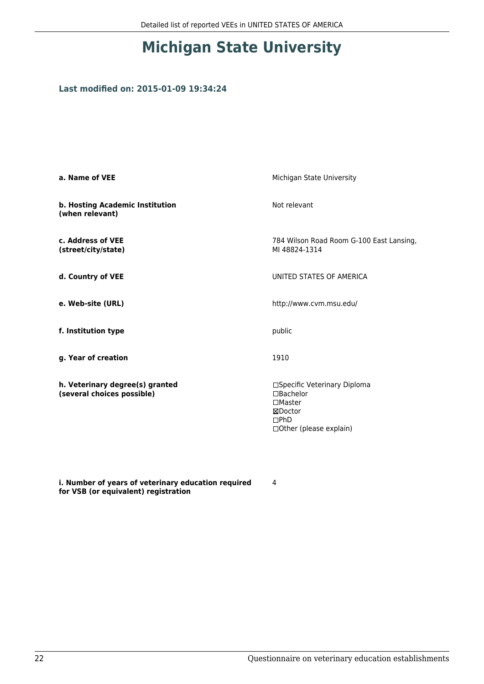# **Michigan State University**

### **Last modified on: 2015-01-09 19:34:24**

| a. Name of VEE                                                | Michigan State University                                                                                       |
|---------------------------------------------------------------|-----------------------------------------------------------------------------------------------------------------|
| b. Hosting Academic Institution<br>(when relevant)            | Not relevant                                                                                                    |
| c. Address of VEE<br>(street/city/state)                      | 784 Wilson Road Room G-100 East Lansing,<br>MI 48824-1314                                                       |
| d. Country of VEE                                             | UNITED STATES OF AMERICA                                                                                        |
| e. Web-site (URL)                                             | http://www.cvm.msu.edu/                                                                                         |
| f. Institution type                                           | public                                                                                                          |
| g. Year of creation                                           | 1910                                                                                                            |
| h. Veterinary degree(s) granted<br>(several choices possible) | □Specific Veterinary Diploma<br>$\Box$ Bachelor<br>$\Box$ Master<br>⊠Doctor<br>DPhD<br>□ Other (please explain) |

**i. Number of years of veterinary education required for VSB (or equivalent) registration**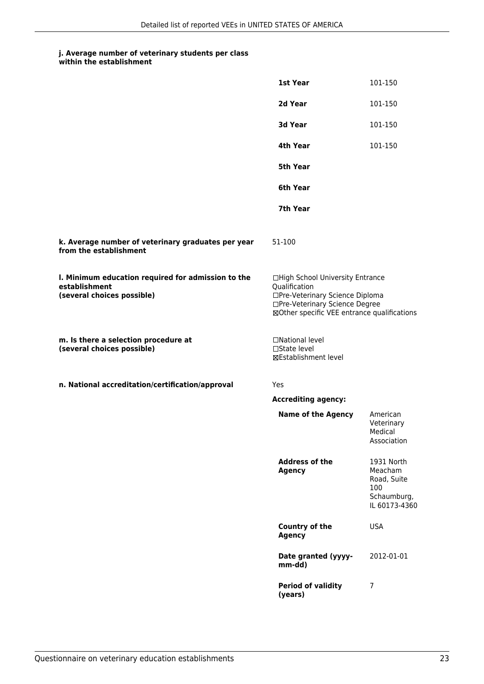| within the establishment |
|--------------------------|
|                          |

|                                                                                                   | 1st Year                                                                                                                                                              | 101-150                                                                     |
|---------------------------------------------------------------------------------------------------|-----------------------------------------------------------------------------------------------------------------------------------------------------------------------|-----------------------------------------------------------------------------|
|                                                                                                   | 2d Year                                                                                                                                                               | 101-150                                                                     |
|                                                                                                   | 3d Year                                                                                                                                                               | 101-150                                                                     |
|                                                                                                   | 4th Year                                                                                                                                                              | 101-150                                                                     |
|                                                                                                   | 5th Year                                                                                                                                                              |                                                                             |
|                                                                                                   | 6th Year                                                                                                                                                              |                                                                             |
|                                                                                                   | 7th Year                                                                                                                                                              |                                                                             |
| k. Average number of veterinary graduates per year<br>from the establishment                      | 51-100                                                                                                                                                                |                                                                             |
| I. Minimum education required for admission to the<br>establishment<br>(several choices possible) | □High School University Entrance<br>Qualification<br>□Pre-Veterinary Science Diploma<br>□Pre-Veterinary Science Degree<br>⊠Other specific VEE entrance qualifications |                                                                             |
| m. Is there a selection procedure at<br>(several choices possible)                                | □National level<br>□State level<br><b>⊠Establishment level</b>                                                                                                        |                                                                             |
| n. National accreditation/certification/approval                                                  | Yes                                                                                                                                                                   |                                                                             |
|                                                                                                   | <b>Accrediting agency:</b>                                                                                                                                            |                                                                             |
|                                                                                                   | <b>Name of the Agency</b>                                                                                                                                             | American<br>Veterinary<br>Medical<br>Association                            |
|                                                                                                   | <b>Address of the</b><br><b>Agency</b>                                                                                                                                | 1931 North<br>Meacham<br>Road, Suite<br>100<br>Schaumburg,<br>IL 60173-4360 |
|                                                                                                   | Country of the<br><b>Agency</b>                                                                                                                                       | <b>USA</b>                                                                  |
|                                                                                                   | Date granted (yyyy-<br>mm-dd)                                                                                                                                         | 2012-01-01                                                                  |
|                                                                                                   | <b>Period of validity</b><br>(years)                                                                                                                                  | 7                                                                           |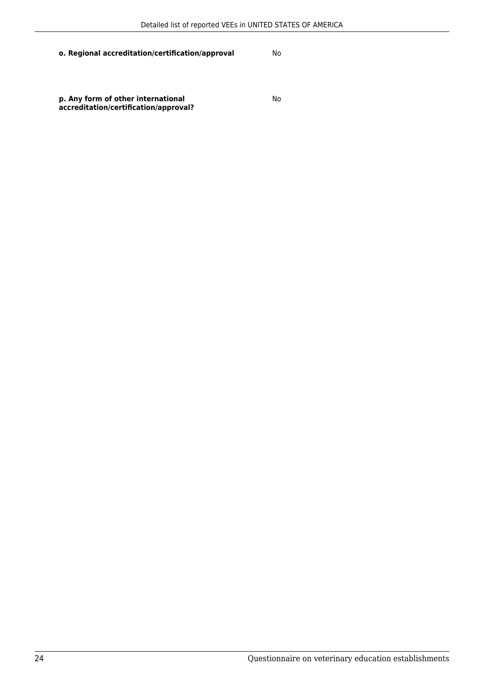**p. Any form of other international accreditation/certification/approval?**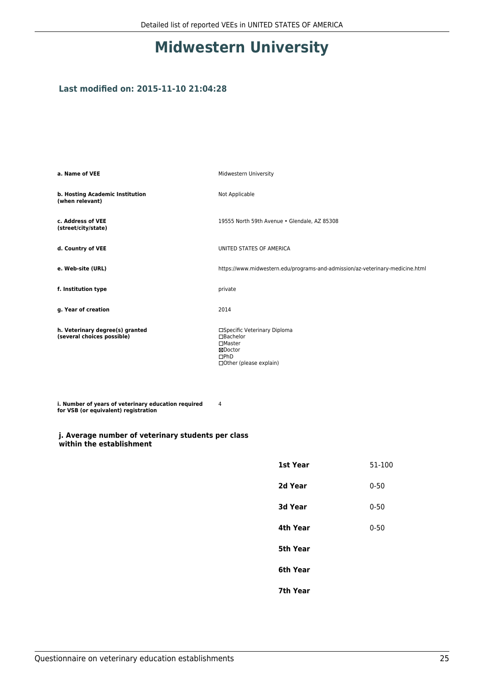# **Midwestern University**

### **Last modified on: 2015-11-10 21:04:28**

| a. Name of VEE                                                | Midwestern University                                                                                                         |
|---------------------------------------------------------------|-------------------------------------------------------------------------------------------------------------------------------|
| b. Hosting Academic Institution<br>(when relevant)            | Not Applicable                                                                                                                |
| c. Address of VEE<br>(street/city/state)                      | 19555 North 59th Avenue . Glendale, AZ 85308                                                                                  |
| d. Country of VEE                                             | UNITED STATES OF AMERICA                                                                                                      |
| e. Web-site (URL)                                             | https://www.midwestern.edu/programs-and-admission/az-veterinary-medicine.html                                                 |
| f. Institution type                                           | private                                                                                                                       |
| g. Year of creation                                           | 2014                                                                                                                          |
| h. Veterinary degree(s) granted<br>(several choices possible) | □Specific Veterinary Diploma<br>$\Box$ Bachelor<br>$\square$ Master<br>⊠Doctor<br>$\Box$ PhD<br>$\Box$ Other (please explain) |

**i. Number of years of veterinary education required for VSB (or equivalent) registration** 4

#### **j. Average number of veterinary students per class within the establishment**

| 51-100   |
|----------|
| $0 - 50$ |
| $0 - 50$ |
| $0 - 50$ |
|          |
|          |
|          |
|          |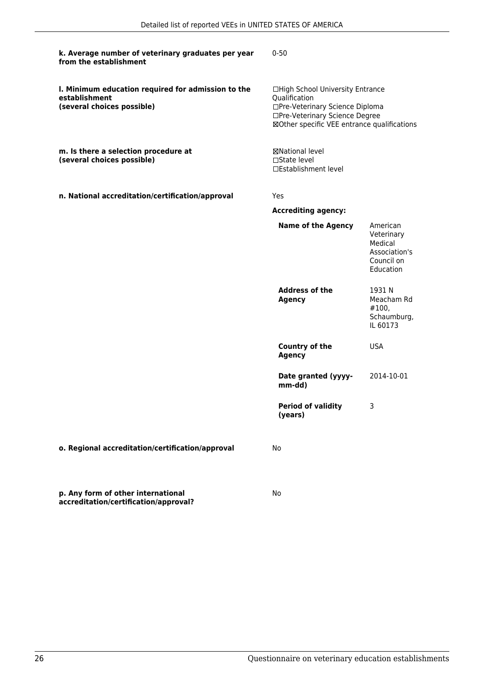| k. Average number of veterinary graduates per year<br>from the establishment                      | $0 - 50$                                                                                                                                                              |                                                                               |
|---------------------------------------------------------------------------------------------------|-----------------------------------------------------------------------------------------------------------------------------------------------------------------------|-------------------------------------------------------------------------------|
| I. Minimum education required for admission to the<br>establishment<br>(several choices possible) | □High School University Entrance<br>Qualification<br>□Pre-Veterinary Science Diploma<br>□Pre-Veterinary Science Degree<br>⊠Other specific VEE entrance qualifications |                                                                               |
| m. Is there a selection procedure at<br>(several choices possible)                                | ⊠National level<br>$\Box$ State level<br>□Establishment level                                                                                                         |                                                                               |
| n. National accreditation/certification/approval                                                  | Yes                                                                                                                                                                   |                                                                               |
|                                                                                                   | <b>Accrediting agency:</b>                                                                                                                                            |                                                                               |
|                                                                                                   | <b>Name of the Agency</b>                                                                                                                                             | American<br>Veterinary<br>Medical<br>Association's<br>Council on<br>Education |
|                                                                                                   | <b>Address of the</b><br><b>Agency</b>                                                                                                                                | 1931 N<br>Meacham Rd<br>#100,<br>Schaumburg,<br>IL 60173                      |
|                                                                                                   | Country of the<br><b>Agency</b>                                                                                                                                       | <b>USA</b>                                                                    |
|                                                                                                   | Date granted (yyyy-<br>mm-dd)                                                                                                                                         | 2014-10-01                                                                    |
|                                                                                                   | <b>Period of validity</b><br>(years)                                                                                                                                  | 3                                                                             |
| o. Regional accreditation/certification/approval                                                  | No                                                                                                                                                                    |                                                                               |
| p. Any form of other international<br>accreditation/certification/approval?                       | No                                                                                                                                                                    |                                                                               |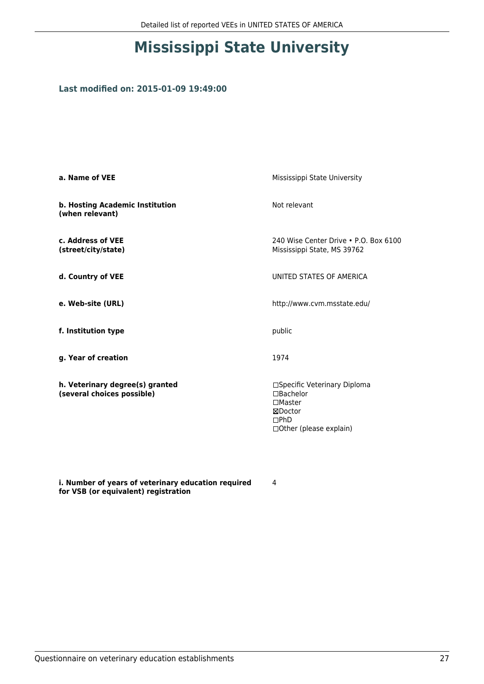# **Mississippi State University**

### **Last modified on: 2015-01-09 19:49:00**

| a. Name of VEE                                                | Mississippi State University                                                                                         |
|---------------------------------------------------------------|----------------------------------------------------------------------------------------------------------------------|
| b. Hosting Academic Institution<br>(when relevant)            | Not relevant                                                                                                         |
| c. Address of VEE<br>(street/city/state)                      | 240 Wise Center Drive • P.O. Box 6100<br>Mississippi State, MS 39762                                                 |
| d. Country of VEE                                             | UNITED STATES OF AMERICA                                                                                             |
| e. Web-site (URL)                                             | http://www.cvm.msstate.edu/                                                                                          |
| f. Institution type                                           | public                                                                                                               |
| g. Year of creation                                           | 1974                                                                                                                 |
| h. Veterinary degree(s) granted<br>(several choices possible) | □Specific Veterinary Diploma<br>$\Box$ Bachelor<br>$\Box$ Master<br>⊠Doctor<br>DPhD<br>$\Box$ Other (please explain) |

**i. Number of years of veterinary education required for VSB (or equivalent) registration**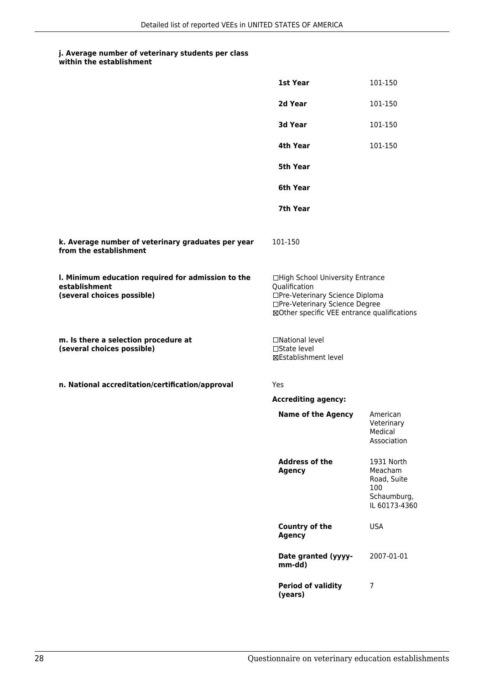|                                                                                                   | 1st Year                                                                                                                                                              | 101-150                                                                     |
|---------------------------------------------------------------------------------------------------|-----------------------------------------------------------------------------------------------------------------------------------------------------------------------|-----------------------------------------------------------------------------|
|                                                                                                   | 2d Year                                                                                                                                                               | 101-150                                                                     |
|                                                                                                   | 3d Year                                                                                                                                                               | 101-150                                                                     |
|                                                                                                   | 4th Year                                                                                                                                                              | 101-150                                                                     |
|                                                                                                   | 5th Year                                                                                                                                                              |                                                                             |
|                                                                                                   | 6th Year                                                                                                                                                              |                                                                             |
|                                                                                                   | 7th Year                                                                                                                                                              |                                                                             |
| k. Average number of veterinary graduates per year<br>from the establishment                      | 101-150                                                                                                                                                               |                                                                             |
| I. Minimum education required for admission to the<br>establishment<br>(several choices possible) | □High School University Entrance<br>Qualification<br>□Pre-Veterinary Science Diploma<br>□Pre-Veterinary Science Degree<br>⊠Other specific VEE entrance qualifications |                                                                             |
| m. Is there a selection procedure at<br>(several choices possible)                                | □National level<br>$\square$ State level<br><b>⊠Establishment level</b>                                                                                               |                                                                             |
| n. National accreditation/certification/approval                                                  | Yes                                                                                                                                                                   |                                                                             |
|                                                                                                   | <b>Accrediting agency:</b>                                                                                                                                            |                                                                             |
|                                                                                                   | <b>Name of the Agency</b>                                                                                                                                             | American<br>Veterinary<br>Medical<br>Association                            |
|                                                                                                   | <b>Address of the</b><br><b>Agency</b>                                                                                                                                | 1931 North<br>Meacham<br>Road, Suite<br>100<br>Schaumburg,<br>IL 60173-4360 |
|                                                                                                   | Country of the<br><b>Agency</b>                                                                                                                                       | <b>USA</b>                                                                  |
|                                                                                                   | Date granted (yyyy-<br>mm-dd)                                                                                                                                         | 2007-01-01                                                                  |
|                                                                                                   | <b>Period of validity</b><br>(years)                                                                                                                                  | 7                                                                           |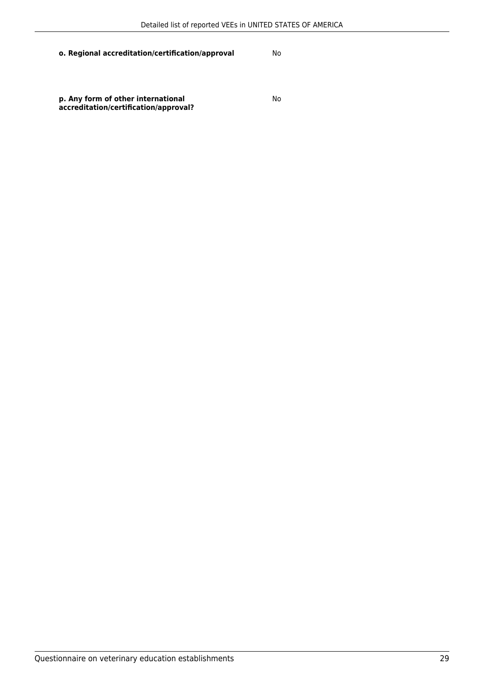**p. Any form of other international accreditation/certification/approval?**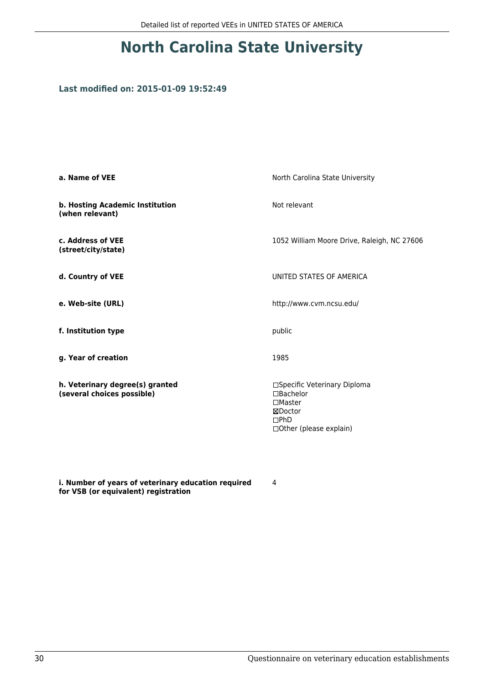# **North Carolina State University**

### **Last modified on: 2015-01-09 19:52:49**

| a. Name of VEE                                                | North Carolina State University                                                                                             |
|---------------------------------------------------------------|-----------------------------------------------------------------------------------------------------------------------------|
| b. Hosting Academic Institution<br>(when relevant)            | Not relevant                                                                                                                |
| c. Address of VEE<br>(street/city/state)                      | 1052 William Moore Drive, Raleigh, NC 27606                                                                                 |
| d. Country of VEE                                             | UNITED STATES OF AMERICA                                                                                                    |
| e. Web-site (URL)                                             | http://www.cvm.ncsu.edu/                                                                                                    |
| f. Institution type                                           | public                                                                                                                      |
| g. Year of creation                                           | 1985                                                                                                                        |
| h. Veterinary degree(s) granted<br>(several choices possible) | □Specific Veterinary Diploma<br>$\Box$ Bachelor<br>$\square$ Master<br>⊠Doctor<br>$\square$ PhD<br>□ Other (please explain) |

**i. Number of years of veterinary education required for VSB (or equivalent) registration**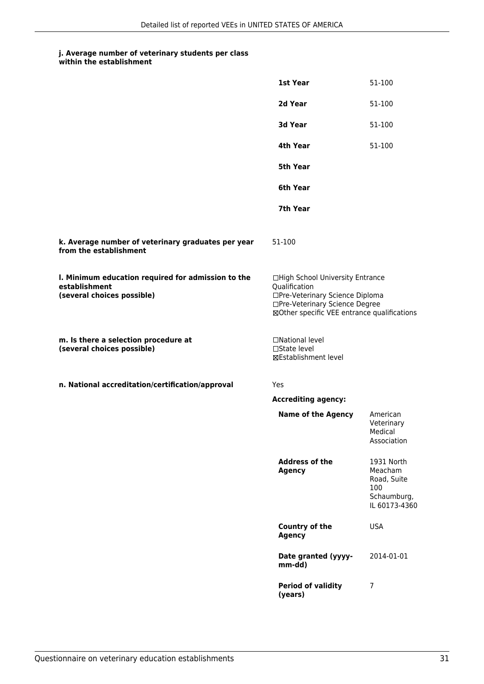| within the establishment |
|--------------------------|
|                          |

|                                                                                                   | 1st Year                                                                                                                                                              | 51-100                                                                      |
|---------------------------------------------------------------------------------------------------|-----------------------------------------------------------------------------------------------------------------------------------------------------------------------|-----------------------------------------------------------------------------|
|                                                                                                   | 2d Year                                                                                                                                                               | 51-100                                                                      |
|                                                                                                   | 3d Year                                                                                                                                                               | 51-100                                                                      |
|                                                                                                   | 4th Year                                                                                                                                                              | 51-100                                                                      |
|                                                                                                   | 5th Year                                                                                                                                                              |                                                                             |
|                                                                                                   | 6th Year                                                                                                                                                              |                                                                             |
|                                                                                                   | 7th Year                                                                                                                                                              |                                                                             |
| k. Average number of veterinary graduates per year<br>from the establishment                      | 51-100                                                                                                                                                                |                                                                             |
| I. Minimum education required for admission to the<br>establishment<br>(several choices possible) | □High School University Entrance<br>Qualification<br>□Pre-Veterinary Science Diploma<br>□Pre-Veterinary Science Degree<br>⊠Other specific VEE entrance qualifications |                                                                             |
| m. Is there a selection procedure at<br>(several choices possible)                                | □National level<br>$\square$ State level<br><b>⊠Establishment level</b>                                                                                               |                                                                             |
| n. National accreditation/certification/approval                                                  | Yes                                                                                                                                                                   |                                                                             |
|                                                                                                   | <b>Accrediting agency:</b>                                                                                                                                            |                                                                             |
|                                                                                                   | <b>Name of the Agency</b>                                                                                                                                             | American<br>Veterinary<br>Medical<br>Association                            |
|                                                                                                   | <b>Address of the</b><br><b>Agency</b>                                                                                                                                | 1931 North<br>Meacham<br>Road, Suite<br>100<br>Schaumburg,<br>IL 60173-4360 |
|                                                                                                   | Country of the<br><b>Agency</b>                                                                                                                                       | <b>USA</b>                                                                  |
|                                                                                                   | Date granted (yyyy-<br>mm-dd)                                                                                                                                         | 2014-01-01                                                                  |
|                                                                                                   | <b>Period of validity</b><br>(years)                                                                                                                                  | 7                                                                           |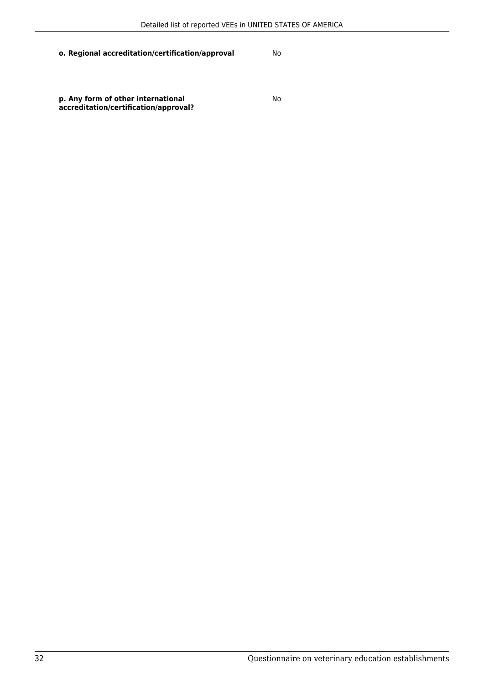**p. Any form of other international accreditation/certification/approval?**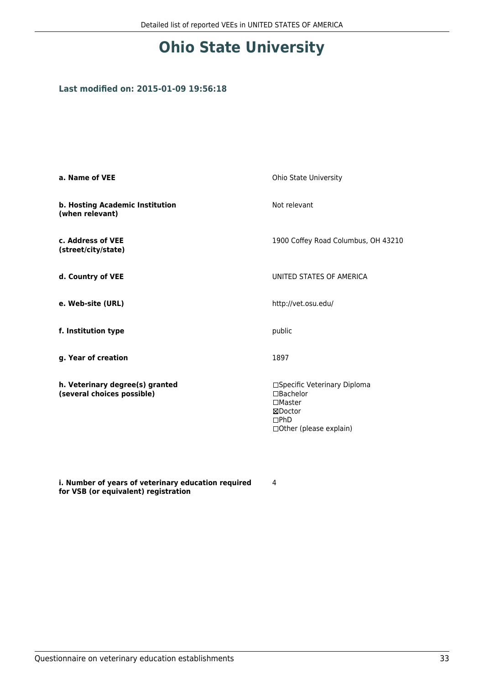# **Ohio State University**

### **Last modified on: 2015-01-09 19:56:18**

| a. Name of VEE                                                | Ohio State University                                                                                              |
|---------------------------------------------------------------|--------------------------------------------------------------------------------------------------------------------|
| b. Hosting Academic Institution<br>(when relevant)            | Not relevant                                                                                                       |
| c. Address of VEE<br>(street/city/state)                      | 1900 Coffey Road Columbus, OH 43210                                                                                |
| d. Country of VEE                                             | UNITED STATES OF AMERICA                                                                                           |
| e. Web-site (URL)                                             | http://vet.osu.edu/                                                                                                |
| f. Institution type                                           | public                                                                                                             |
| g. Year of creation                                           | 1897                                                                                                               |
| h. Veterinary degree(s) granted<br>(several choices possible) | □Specific Veterinary Diploma<br>$\Box$ Bachelor<br>$\square$ Master<br>⊠Doctor<br>DPhD<br>□ Other (please explain) |

**i. Number of years of veterinary education required for VSB (or equivalent) registration**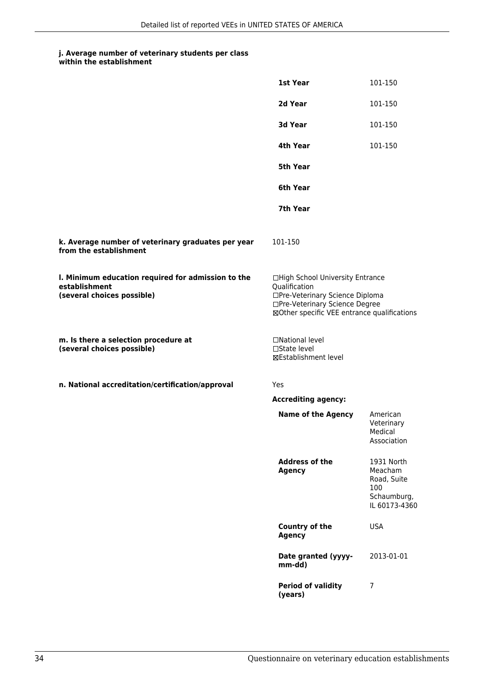| within the establishment |
|--------------------------|
|                          |

|                                                                                                   | 1st Year                                                                                                                                                              | 101-150                                                                     |
|---------------------------------------------------------------------------------------------------|-----------------------------------------------------------------------------------------------------------------------------------------------------------------------|-----------------------------------------------------------------------------|
|                                                                                                   | 2d Year                                                                                                                                                               | 101-150                                                                     |
|                                                                                                   | 3d Year                                                                                                                                                               | 101-150                                                                     |
|                                                                                                   | 4th Year                                                                                                                                                              | 101-150                                                                     |
|                                                                                                   | 5th Year                                                                                                                                                              |                                                                             |
|                                                                                                   | 6th Year                                                                                                                                                              |                                                                             |
|                                                                                                   | 7th Year                                                                                                                                                              |                                                                             |
| k. Average number of veterinary graduates per year<br>from the establishment                      | 101-150                                                                                                                                                               |                                                                             |
| I. Minimum education required for admission to the<br>establishment<br>(several choices possible) | □High School University Entrance<br>Qualification<br>□Pre-Veterinary Science Diploma<br>□Pre-Veterinary Science Degree<br>⊠Other specific VEE entrance qualifications |                                                                             |
| m. Is there a selection procedure at<br>(several choices possible)                                | □National level<br>$\square$ State level<br><b>⊠Establishment level</b>                                                                                               |                                                                             |
| n. National accreditation/certification/approval                                                  | Yes                                                                                                                                                                   |                                                                             |
|                                                                                                   | <b>Accrediting agency:</b>                                                                                                                                            |                                                                             |
|                                                                                                   | <b>Name of the Agency</b>                                                                                                                                             | American<br>Veterinary<br>Medical<br>Association                            |
|                                                                                                   | <b>Address of the</b><br><b>Agency</b>                                                                                                                                | 1931 North<br>Meacham<br>Road, Suite<br>100<br>Schaumburg,<br>IL 60173-4360 |
|                                                                                                   | Country of the<br><b>Agency</b>                                                                                                                                       | <b>USA</b>                                                                  |
|                                                                                                   | Date granted (yyyy-<br>mm-dd)                                                                                                                                         | 2013-01-01                                                                  |
|                                                                                                   | <b>Period of validity</b><br>(years)                                                                                                                                  | 7                                                                           |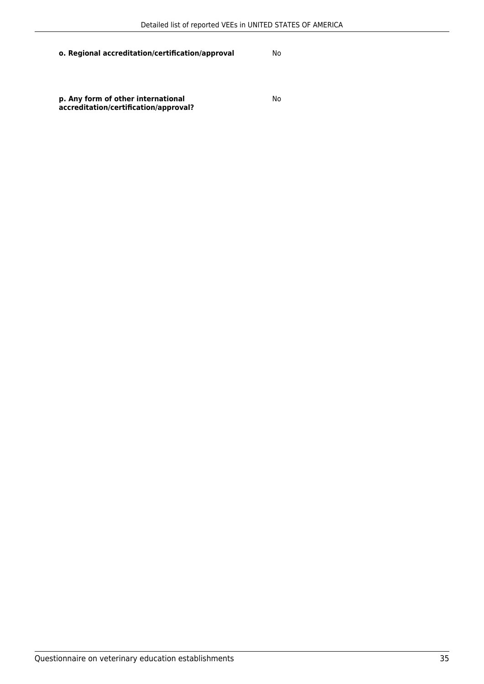**p. Any form of other international accreditation/certification/approval?**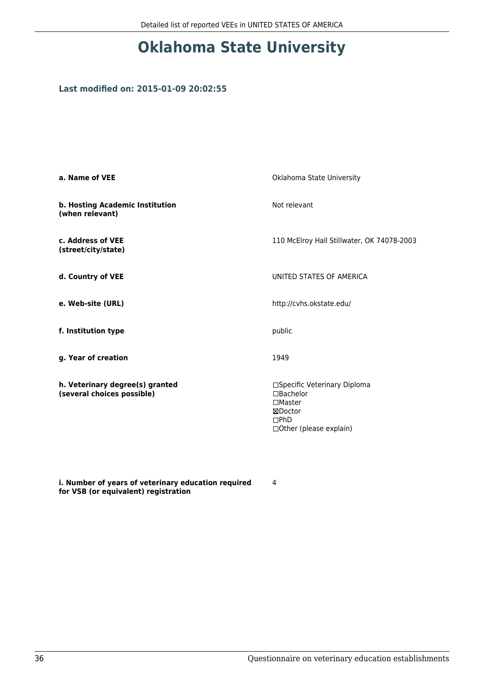# **Oklahoma State University**

### **Last modified on: 2015-01-09 20:02:55**

| a. Name of VEE                                                | Oklahoma State University                                                                                          |
|---------------------------------------------------------------|--------------------------------------------------------------------------------------------------------------------|
| b. Hosting Academic Institution<br>(when relevant)            | Not relevant                                                                                                       |
| c. Address of VEE<br>(street/city/state)                      | 110 McElroy Hall Stillwater, OK 74078-2003                                                                         |
| d. Country of VEE                                             | UNITED STATES OF AMERICA                                                                                           |
| e. Web-site (URL)                                             | http://cvhs.okstate.edu/                                                                                           |
| f. Institution type                                           | public                                                                                                             |
| g. Year of creation                                           | 1949                                                                                                               |
| h. Veterinary degree(s) granted<br>(several choices possible) | □Specific Veterinary Diploma<br>$\Box$ Bachelor<br>$\square$ Master<br>⊠Doctor<br>DPhD<br>□ Other (please explain) |

**i. Number of years of veterinary education required for VSB (or equivalent) registration**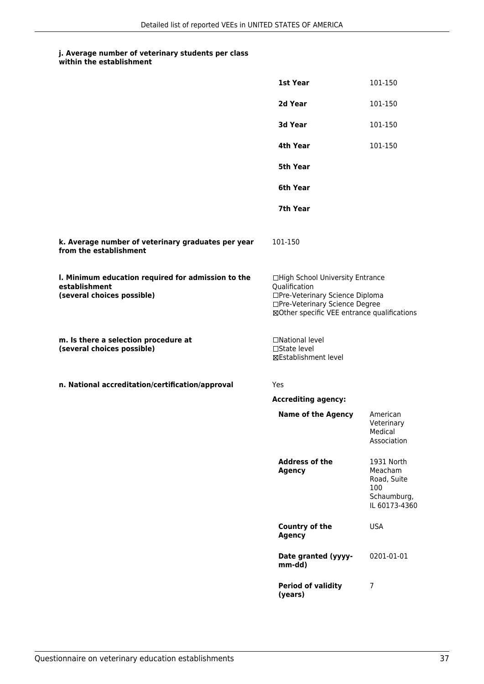| within the establishment |
|--------------------------|
|                          |

|                                                                                                   | 1st Year                                                                                                                                                              | 101-150                                                                     |
|---------------------------------------------------------------------------------------------------|-----------------------------------------------------------------------------------------------------------------------------------------------------------------------|-----------------------------------------------------------------------------|
|                                                                                                   | 2d Year                                                                                                                                                               | 101-150                                                                     |
|                                                                                                   | 3d Year                                                                                                                                                               | 101-150                                                                     |
|                                                                                                   | 4th Year                                                                                                                                                              | 101-150                                                                     |
|                                                                                                   | 5th Year                                                                                                                                                              |                                                                             |
|                                                                                                   | 6th Year                                                                                                                                                              |                                                                             |
|                                                                                                   | 7th Year                                                                                                                                                              |                                                                             |
| k. Average number of veterinary graduates per year<br>from the establishment                      | 101-150                                                                                                                                                               |                                                                             |
| I. Minimum education required for admission to the<br>establishment<br>(several choices possible) | □High School University Entrance<br>Qualification<br>□Pre-Veterinary Science Diploma<br>□Pre-Veterinary Science Degree<br>⊠Other specific VEE entrance qualifications |                                                                             |
| m. Is there a selection procedure at<br>(several choices possible)                                | □National level<br>□State level<br><b>⊠Establishment level</b>                                                                                                        |                                                                             |
| n. National accreditation/certification/approval                                                  | Yes                                                                                                                                                                   |                                                                             |
|                                                                                                   | <b>Accrediting agency:</b>                                                                                                                                            |                                                                             |
|                                                                                                   | <b>Name of the Agency</b>                                                                                                                                             | American<br>Veterinary<br>Medical<br>Association                            |
|                                                                                                   | <b>Address of the</b><br><b>Agency</b>                                                                                                                                | 1931 North<br>Meacham<br>Road, Suite<br>100<br>Schaumburg,<br>IL 60173-4360 |
|                                                                                                   | <b>Country of the</b><br><b>Agency</b>                                                                                                                                | <b>USA</b>                                                                  |
|                                                                                                   | Date granted (yyyy-<br>mm-dd)                                                                                                                                         | 0201-01-01                                                                  |
|                                                                                                   | <b>Period of validity</b><br>(years)                                                                                                                                  | 7                                                                           |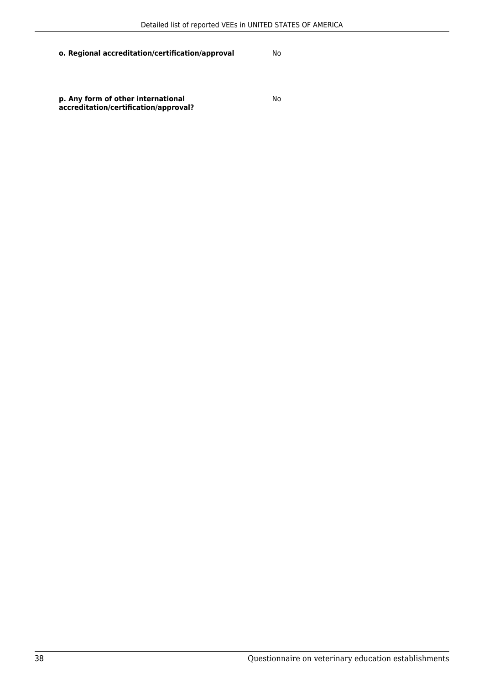**p. Any form of other international accreditation/certification/approval?**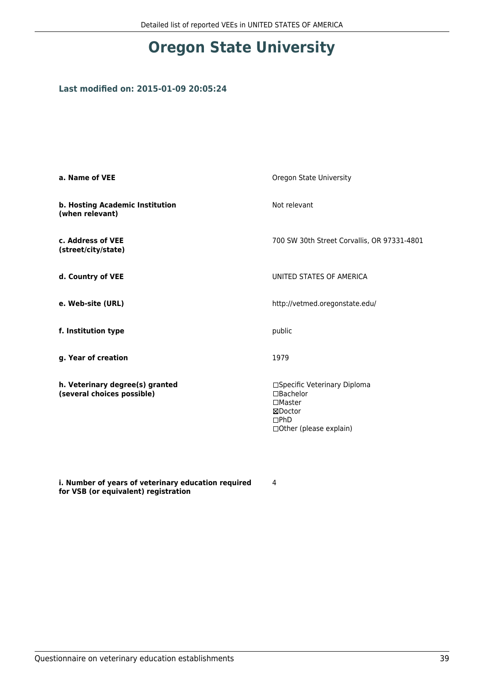## **Oregon State University**

#### **Last modified on: 2015-01-09 20:05:24**

| a. Name of VEE                                                | Oregon State University                                                                                            |
|---------------------------------------------------------------|--------------------------------------------------------------------------------------------------------------------|
| b. Hosting Academic Institution<br>(when relevant)            | Not relevant                                                                                                       |
| c. Address of VEE<br>(street/city/state)                      | 700 SW 30th Street Corvallis, OR 97331-4801                                                                        |
| d. Country of VEE                                             | UNITED STATES OF AMERICA                                                                                           |
| e. Web-site (URL)                                             | http://vetmed.oregonstate.edu/                                                                                     |
| f. Institution type                                           | public                                                                                                             |
| g. Year of creation                                           | 1979                                                                                                               |
| h. Veterinary degree(s) granted<br>(several choices possible) | □Specific Veterinary Diploma<br>$\Box$ Bachelor<br>$\square$ Master<br>⊠Doctor<br>DPhD<br>□ Other (please explain) |

**i. Number of years of veterinary education required for VSB (or equivalent) registration**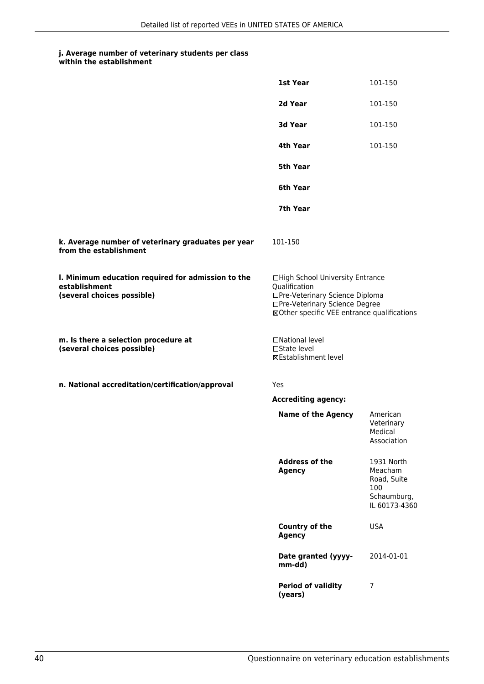|                                                                                                   | 1st Year                                                                                                                                                              | 101-150                                                                     |
|---------------------------------------------------------------------------------------------------|-----------------------------------------------------------------------------------------------------------------------------------------------------------------------|-----------------------------------------------------------------------------|
|                                                                                                   | 2d Year                                                                                                                                                               | 101-150                                                                     |
|                                                                                                   | 3d Year                                                                                                                                                               | 101-150                                                                     |
|                                                                                                   | 4th Year                                                                                                                                                              | 101-150                                                                     |
|                                                                                                   | 5th Year                                                                                                                                                              |                                                                             |
|                                                                                                   | 6th Year                                                                                                                                                              |                                                                             |
|                                                                                                   | 7th Year                                                                                                                                                              |                                                                             |
| k. Average number of veterinary graduates per year<br>from the establishment                      | 101-150                                                                                                                                                               |                                                                             |
| I. Minimum education required for admission to the<br>establishment<br>(several choices possible) | □High School University Entrance<br>Qualification<br>□Pre-Veterinary Science Diploma<br>□Pre-Veterinary Science Degree<br>⊠Other specific VEE entrance qualifications |                                                                             |
| m. Is there a selection procedure at<br>(several choices possible)                                | □National level<br>□State level<br><b>⊠Establishment level</b>                                                                                                        |                                                                             |
| n. National accreditation/certification/approval                                                  | Yes                                                                                                                                                                   |                                                                             |
|                                                                                                   | <b>Accrediting agency:</b>                                                                                                                                            |                                                                             |
|                                                                                                   | <b>Name of the Agency</b>                                                                                                                                             | American<br>Veterinary<br>Medical<br>Association                            |
|                                                                                                   | <b>Address of the</b><br><b>Agency</b>                                                                                                                                | 1931 North<br>Meacham<br>Road, Suite<br>100<br>Schaumburg,<br>IL 60173-4360 |
|                                                                                                   | Country of the<br><b>Agency</b>                                                                                                                                       | <b>USA</b>                                                                  |
|                                                                                                   | Date granted (yyyy-<br>mm-dd)                                                                                                                                         | 2014-01-01                                                                  |
|                                                                                                   | <b>Period of validity</b><br>(years)                                                                                                                                  | 7                                                                           |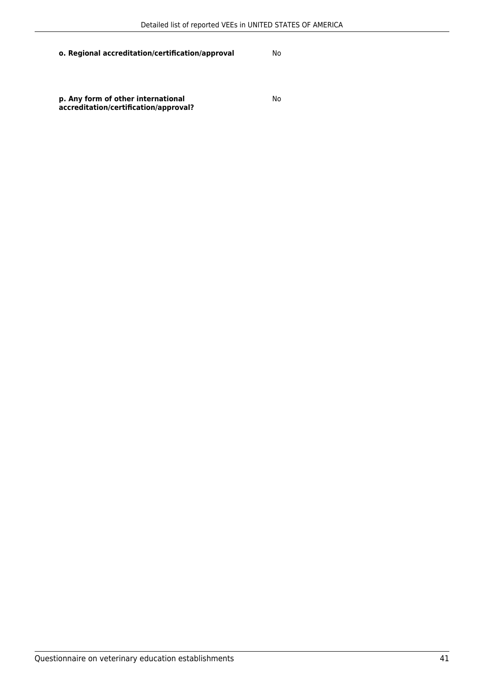**p. Any form of other international accreditation/certification/approval?**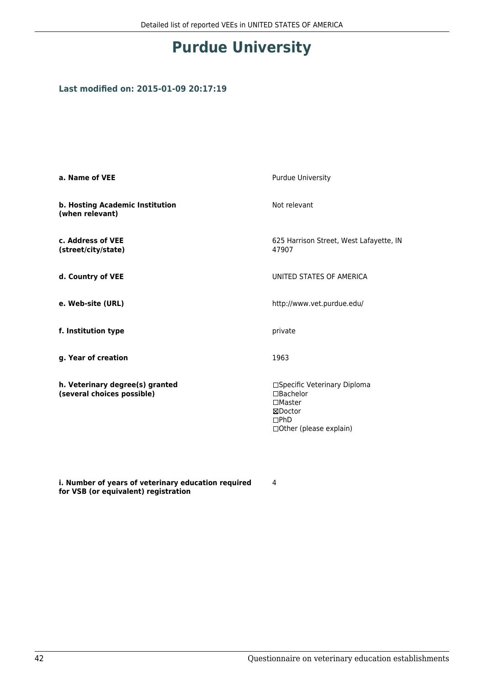## **Purdue University**

### **Last modified on: 2015-01-09 20:17:19**

| a. Name of VEE                                                | <b>Purdue University</b>                                                                                    |
|---------------------------------------------------------------|-------------------------------------------------------------------------------------------------------------|
| b. Hosting Academic Institution<br>(when relevant)            | Not relevant                                                                                                |
| c. Address of VEE<br>(street/city/state)                      | 625 Harrison Street, West Lafayette, IN<br>47907                                                            |
| d. Country of VEE                                             | UNITED STATES OF AMERICA                                                                                    |
| e. Web-site (URL)                                             | http://www.vet.purdue.edu/                                                                                  |
| f. Institution type                                           | private                                                                                                     |
| g. Year of creation                                           | 1963                                                                                                        |
| h. Veterinary degree(s) granted<br>(several choices possible) | □Specific Veterinary Diploma<br>□Bachelor<br>$\square$ Master<br>⊠Doctor<br>DPhD<br>□Other (please explain) |

**i. Number of years of veterinary education required for VSB (or equivalent) registration**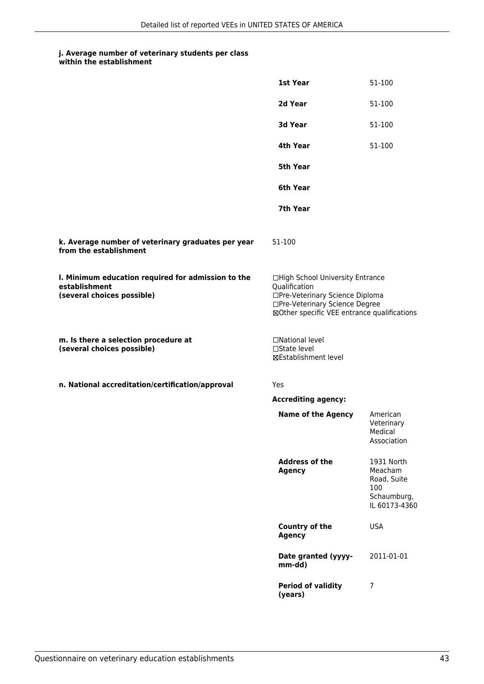| within the establishment |
|--------------------------|
|                          |

|                                                                                                   | 1st Year                                                                                                                                                              | 51-100                                                                      |
|---------------------------------------------------------------------------------------------------|-----------------------------------------------------------------------------------------------------------------------------------------------------------------------|-----------------------------------------------------------------------------|
|                                                                                                   | 2d Year                                                                                                                                                               | 51-100                                                                      |
|                                                                                                   | 3d Year                                                                                                                                                               | 51-100                                                                      |
|                                                                                                   | 4th Year                                                                                                                                                              | 51-100                                                                      |
|                                                                                                   | <b>5th Year</b>                                                                                                                                                       |                                                                             |
|                                                                                                   | 6th Year                                                                                                                                                              |                                                                             |
|                                                                                                   | 7th Year                                                                                                                                                              |                                                                             |
| k. Average number of veterinary graduates per year<br>from the establishment                      | 51-100                                                                                                                                                                |                                                                             |
| I. Minimum education required for admission to the<br>establishment<br>(several choices possible) | □High School University Entrance<br>Qualification<br>□Pre-Veterinary Science Diploma<br>□Pre-Veterinary Science Degree<br>⊠Other specific VEE entrance qualifications |                                                                             |
| m. Is there a selection procedure at<br>(several choices possible)                                | □National level<br>$\square$ State level<br><b>⊠Establishment level</b>                                                                                               |                                                                             |
| n. National accreditation/certification/approval                                                  | Yes                                                                                                                                                                   |                                                                             |
|                                                                                                   | <b>Accrediting agency:</b>                                                                                                                                            |                                                                             |
|                                                                                                   | <b>Name of the Agency</b>                                                                                                                                             | American<br>Veterinary<br>Medical<br>Association                            |
|                                                                                                   | <b>Address of the</b><br><b>Agency</b>                                                                                                                                | 1931 North<br>Meacham<br>Road, Suite<br>100<br>Schaumburg,<br>IL 60173-4360 |
|                                                                                                   | <b>Country of the</b><br><b>Agency</b>                                                                                                                                | <b>USA</b>                                                                  |
|                                                                                                   | Date granted (yyyy-<br>mm-dd)                                                                                                                                         | 2011-01-01                                                                  |
|                                                                                                   | <b>Period of validity</b><br>(years)                                                                                                                                  | 7                                                                           |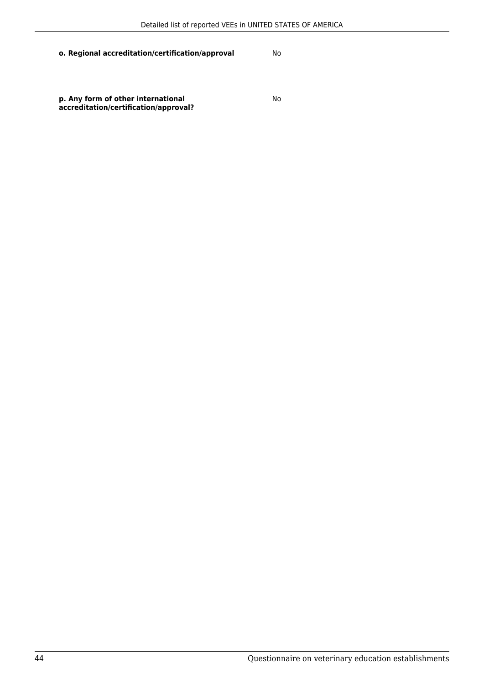**p. Any form of other international accreditation/certification/approval?**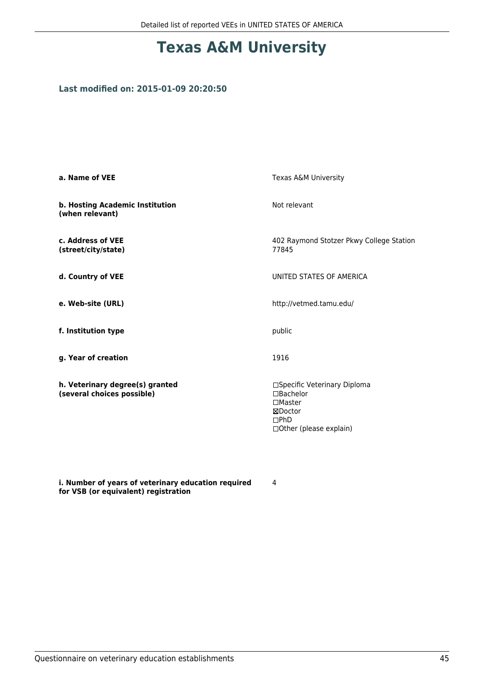## **Texas A&M University**

#### **Last modified on: 2015-01-09 20:20:50**

| a. Name of VEE                                                | Texas A&M University                                                                                               |
|---------------------------------------------------------------|--------------------------------------------------------------------------------------------------------------------|
| b. Hosting Academic Institution<br>(when relevant)            | Not relevant                                                                                                       |
| c. Address of VEE<br>(street/city/state)                      | 402 Raymond Stotzer Pkwy College Station<br>77845                                                                  |
| d. Country of VEE                                             | UNITED STATES OF AMERICA                                                                                           |
| e. Web-site (URL)                                             | http://vetmed.tamu.edu/                                                                                            |
| f. Institution type                                           | public                                                                                                             |
| g. Year of creation                                           | 1916                                                                                                               |
| h. Veterinary degree(s) granted<br>(several choices possible) | □Specific Veterinary Diploma<br>$\Box$ Bachelor<br>$\square$ Master<br>⊠Doctor<br>DPhD<br>□ Other (please explain) |

**i. Number of years of veterinary education required for VSB (or equivalent) registration**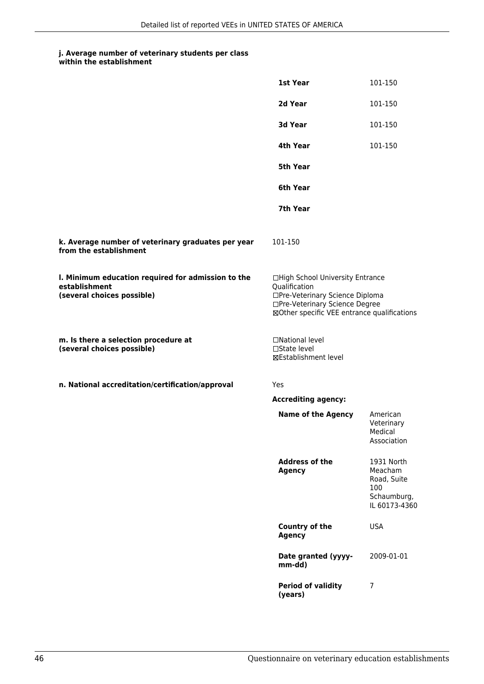|                                                                                                   | 1st Year                                                                                                                                                              | 101-150                                                                     |
|---------------------------------------------------------------------------------------------------|-----------------------------------------------------------------------------------------------------------------------------------------------------------------------|-----------------------------------------------------------------------------|
|                                                                                                   | 2d Year                                                                                                                                                               | 101-150                                                                     |
|                                                                                                   | 3d Year                                                                                                                                                               | 101-150                                                                     |
|                                                                                                   | 4th Year                                                                                                                                                              | 101-150                                                                     |
|                                                                                                   | 5th Year                                                                                                                                                              |                                                                             |
|                                                                                                   | 6th Year                                                                                                                                                              |                                                                             |
|                                                                                                   | 7th Year                                                                                                                                                              |                                                                             |
| k. Average number of veterinary graduates per year<br>from the establishment                      | 101-150                                                                                                                                                               |                                                                             |
| I. Minimum education required for admission to the<br>establishment<br>(several choices possible) | □High School University Entrance<br>Qualification<br>□Pre-Veterinary Science Diploma<br>□Pre-Veterinary Science Degree<br>⊠Other specific VEE entrance qualifications |                                                                             |
| m. Is there a selection procedure at<br>(several choices possible)                                | □National level<br>□State level<br>⊠Establishment level                                                                                                               |                                                                             |
| n. National accreditation/certification/approval                                                  | <b>Yes</b>                                                                                                                                                            |                                                                             |
|                                                                                                   | <b>Accrediting agency:</b>                                                                                                                                            |                                                                             |
|                                                                                                   | <b>Name of the Agency</b>                                                                                                                                             | American<br>Veterinary<br>Medical<br>Association                            |
|                                                                                                   | <b>Address of the</b><br><b>Agency</b>                                                                                                                                | 1931 North<br>Meacham<br>Road, Suite<br>100<br>Schaumburg,<br>IL 60173-4360 |
|                                                                                                   | <b>Country of the</b><br><b>Agency</b>                                                                                                                                | <b>USA</b>                                                                  |
|                                                                                                   | Date granted (yyyy-<br>mm-dd)                                                                                                                                         | 2009-01-01                                                                  |
|                                                                                                   | <b>Period of validity</b><br>(years)                                                                                                                                  | 7                                                                           |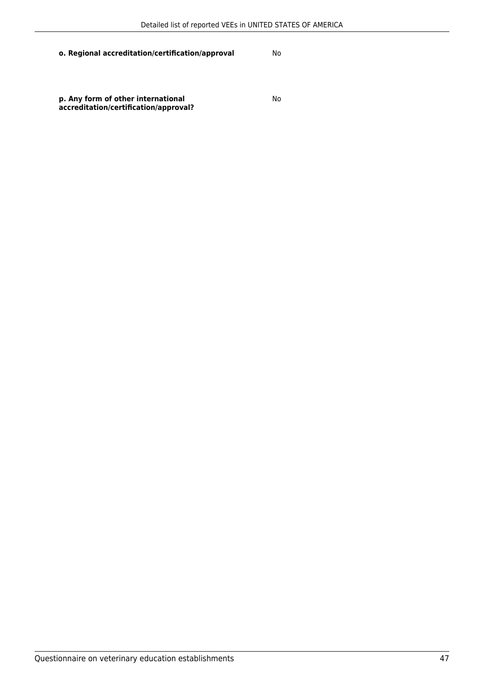**p. Any form of other international accreditation/certification/approval?**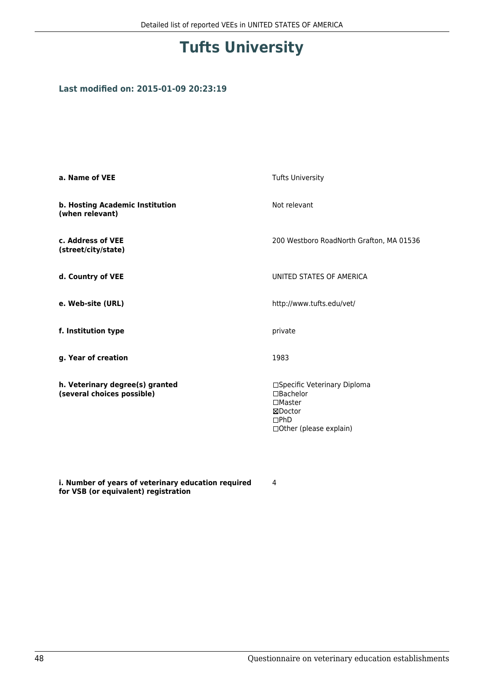## **Tufts University**

### **Last modified on: 2015-01-09 20:23:19**

| a. Name of VEE                                                | <b>Tufts University</b>                                                                                                 |
|---------------------------------------------------------------|-------------------------------------------------------------------------------------------------------------------------|
| b. Hosting Academic Institution<br>(when relevant)            | Not relevant                                                                                                            |
| c. Address of VEE<br>(street/city/state)                      | 200 Westboro RoadNorth Grafton, MA 01536                                                                                |
| d. Country of VEE                                             | UNITED STATES OF AMERICA                                                                                                |
| e. Web-site (URL)                                             | http://www.tufts.edu/vet/                                                                                               |
| f. Institution type                                           | private                                                                                                                 |
| g. Year of creation                                           | 1983                                                                                                                    |
| h. Veterinary degree(s) granted<br>(several choices possible) | □Specific Veterinary Diploma<br>$\Box$ Bachelor<br>$\Box$ Master<br>⊠Doctor<br>$\square$ PhD<br>□Other (please explain) |

**i. Number of years of veterinary education required for VSB (or equivalent) registration**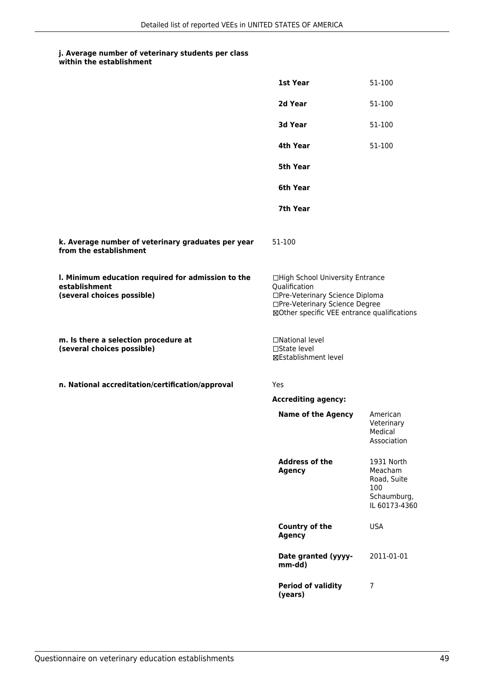| within the establishment |
|--------------------------|
|                          |

|                                                                                                   | 1st Year                                                                                                                                                              | 51-100                                                                      |
|---------------------------------------------------------------------------------------------------|-----------------------------------------------------------------------------------------------------------------------------------------------------------------------|-----------------------------------------------------------------------------|
|                                                                                                   | 2d Year                                                                                                                                                               | 51-100                                                                      |
|                                                                                                   | 3d Year                                                                                                                                                               | 51-100                                                                      |
|                                                                                                   | 4th Year                                                                                                                                                              | 51-100                                                                      |
|                                                                                                   | <b>5th Year</b>                                                                                                                                                       |                                                                             |
|                                                                                                   | 6th Year                                                                                                                                                              |                                                                             |
|                                                                                                   | 7th Year                                                                                                                                                              |                                                                             |
| k. Average number of veterinary graduates per year<br>from the establishment                      | 51-100                                                                                                                                                                |                                                                             |
| I. Minimum education required for admission to the<br>establishment<br>(several choices possible) | □High School University Entrance<br>Qualification<br>□Pre-Veterinary Science Diploma<br>□Pre-Veterinary Science Degree<br>⊠Other specific VEE entrance qualifications |                                                                             |
| m. Is there a selection procedure at<br>(several choices possible)                                | □National level<br>$\square$ State level<br><b>⊠Establishment level</b>                                                                                               |                                                                             |
| n. National accreditation/certification/approval                                                  | Yes                                                                                                                                                                   |                                                                             |
|                                                                                                   | <b>Accrediting agency:</b>                                                                                                                                            |                                                                             |
|                                                                                                   | <b>Name of the Agency</b>                                                                                                                                             | American<br>Veterinary<br>Medical<br>Association                            |
|                                                                                                   | <b>Address of the</b><br><b>Agency</b>                                                                                                                                | 1931 North<br>Meacham<br>Road, Suite<br>100<br>Schaumburg,<br>IL 60173-4360 |
|                                                                                                   | <b>Country of the</b><br><b>Agency</b>                                                                                                                                | <b>USA</b>                                                                  |
|                                                                                                   | Date granted (yyyy-<br>mm-dd)                                                                                                                                         | 2011-01-01                                                                  |
|                                                                                                   | <b>Period of validity</b><br>(years)                                                                                                                                  | 7                                                                           |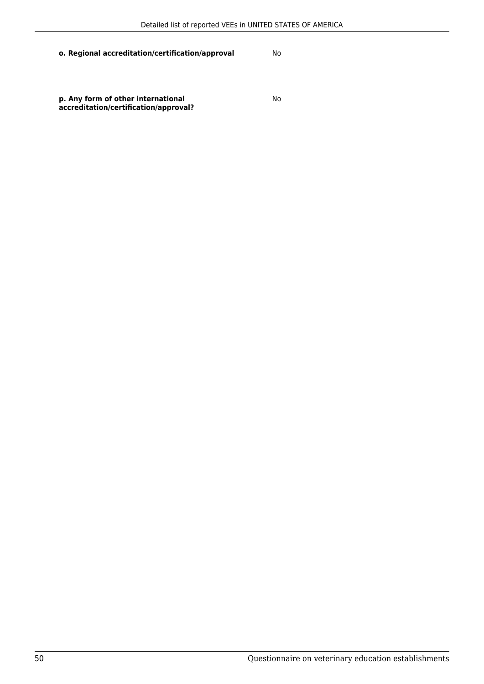**p. Any form of other international accreditation/certification/approval?**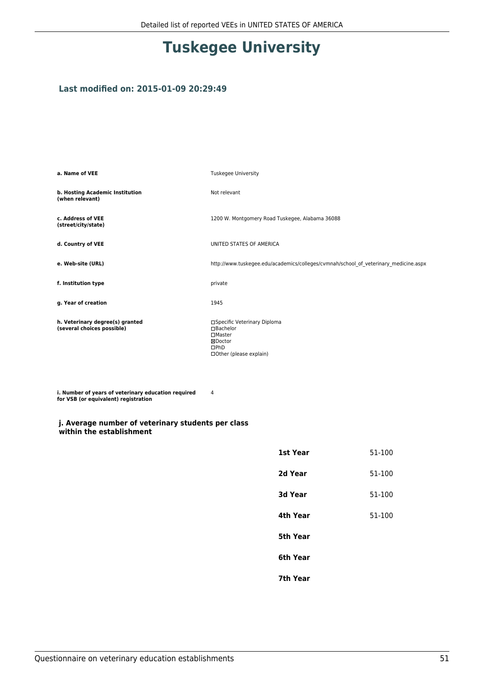## **Tuskegee University**

#### **Last modified on: 2015-01-09 20:29:49**

| a. Name of VEE                                                | <b>Tuskegee University</b>                                                                                   |
|---------------------------------------------------------------|--------------------------------------------------------------------------------------------------------------|
| b. Hosting Academic Institution<br>(when relevant)            | Not relevant                                                                                                 |
| c. Address of VEE<br>(street/city/state)                      | 1200 W. Montgomery Road Tuskegee, Alabama 36088                                                              |
| d. Country of VEE                                             | UNITED STATES OF AMERICA                                                                                     |
| e. Web-site (URL)                                             | http://www.tuskegee.edu/academics/colleges/cvmnah/school of veterinary medicine.aspx                         |
| f. Institution type                                           | private                                                                                                      |
| g. Year of creation                                           | 1945                                                                                                         |
| h. Veterinary degree(s) granted<br>(several choices possible) | □Specific Veterinary Diploma<br>□Bachelor<br>$\square$ Master<br>⊠Doctor<br>DPhD<br>□ Other (please explain) |

4

**i. Number of years of veterinary education required for VSB (or equivalent) registration**

#### **j. Average number of veterinary students per class within the establishment**

| 1st Year | 51-100 |
|----------|--------|
| 2d Year  | 51-100 |
| 3d Year  | 51-100 |
| 4th Year | 51-100 |
| 5th Year |        |
| 6th Year |        |
| 7th Year |        |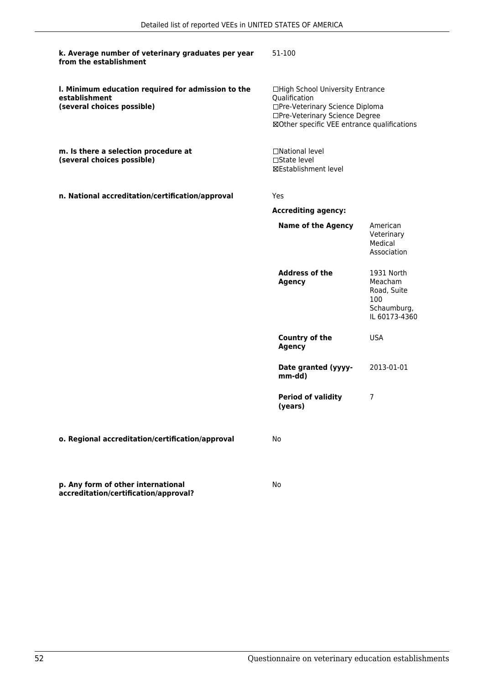| k. Average number of veterinary graduates per year<br>from the establishment                      | 51-100                                                                                                                                                                |                                                                             |
|---------------------------------------------------------------------------------------------------|-----------------------------------------------------------------------------------------------------------------------------------------------------------------------|-----------------------------------------------------------------------------|
| I. Minimum education required for admission to the<br>establishment<br>(several choices possible) | □High School University Entrance<br>Qualification<br>□Pre-Veterinary Science Diploma<br>□Pre-Veterinary Science Degree<br>⊠Other specific VEE entrance qualifications |                                                                             |
| m. Is there a selection procedure at<br>(several choices possible)                                | □National level<br>□State level<br>⊠Establishment level                                                                                                               |                                                                             |
| n. National accreditation/certification/approval                                                  | Yes                                                                                                                                                                   |                                                                             |
|                                                                                                   | <b>Accrediting agency:</b>                                                                                                                                            |                                                                             |
|                                                                                                   | <b>Name of the Agency</b>                                                                                                                                             | American<br>Veterinary<br>Medical<br>Association                            |
|                                                                                                   | <b>Address of the</b><br><b>Agency</b>                                                                                                                                | 1931 North<br>Meacham<br>Road, Suite<br>100<br>Schaumburg,<br>IL 60173-4360 |
|                                                                                                   | <b>Country of the</b><br><b>Agency</b>                                                                                                                                | <b>USA</b>                                                                  |
|                                                                                                   | Date granted (yyyy-<br>mm-dd)                                                                                                                                         | 2013-01-01                                                                  |
|                                                                                                   | <b>Period of validity</b><br>(years)                                                                                                                                  | 7                                                                           |
| o. Regional accreditation/certification/approval                                                  | No                                                                                                                                                                    |                                                                             |
| p. Any form of other international<br>accreditation/certification/approval?                       | No                                                                                                                                                                    |                                                                             |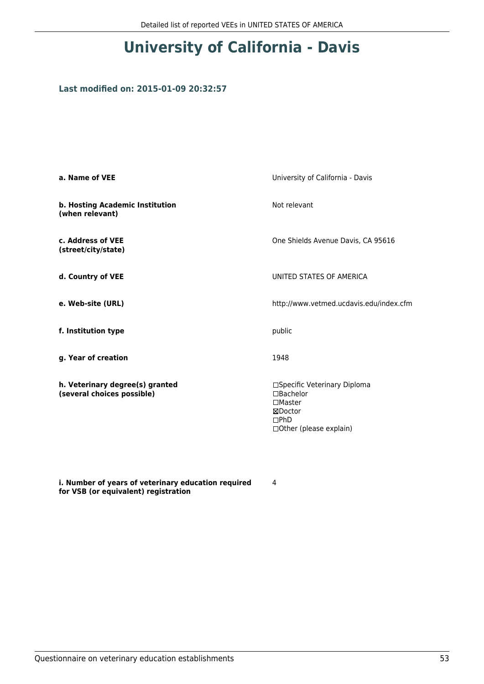## **University of California - Davis**

### **Last modified on: 2015-01-09 20:32:57**

| a. Name of VEE                                                | University of California - Davis                                                                                   |
|---------------------------------------------------------------|--------------------------------------------------------------------------------------------------------------------|
| b. Hosting Academic Institution<br>(when relevant)            | Not relevant                                                                                                       |
| c. Address of VEE<br>(street/city/state)                      | One Shields Avenue Davis, CA 95616                                                                                 |
| d. Country of VEE                                             | UNITED STATES OF AMERICA                                                                                           |
| e. Web-site (URL)                                             | http://www.vetmed.ucdavis.edu/index.cfm                                                                            |
| f. Institution type                                           | public                                                                                                             |
| g. Year of creation                                           | 1948                                                                                                               |
| h. Veterinary degree(s) granted<br>(several choices possible) | □Specific Veterinary Diploma<br>$\Box$ Bachelor<br>$\square$ Master<br>⊠Doctor<br>DPhD<br>□ Other (please explain) |

**i. Number of years of veterinary education required for VSB (or equivalent) registration**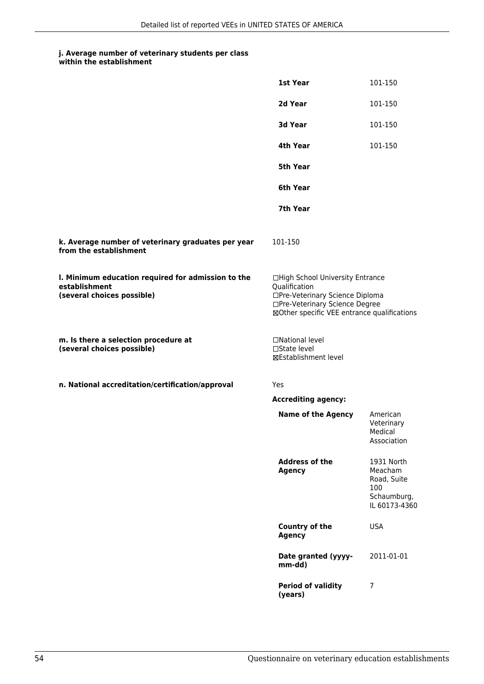| within the establishment |
|--------------------------|
|                          |

|                                                                                                   | 1st Year                                                                                                                                                              | 101-150                                                                     |
|---------------------------------------------------------------------------------------------------|-----------------------------------------------------------------------------------------------------------------------------------------------------------------------|-----------------------------------------------------------------------------|
|                                                                                                   | 2d Year                                                                                                                                                               | 101-150                                                                     |
|                                                                                                   | 3d Year                                                                                                                                                               | 101-150                                                                     |
|                                                                                                   | 4th Year                                                                                                                                                              | 101-150                                                                     |
|                                                                                                   | 5th Year                                                                                                                                                              |                                                                             |
|                                                                                                   | 6th Year                                                                                                                                                              |                                                                             |
|                                                                                                   | 7th Year                                                                                                                                                              |                                                                             |
| k. Average number of veterinary graduates per year<br>from the establishment                      | 101-150                                                                                                                                                               |                                                                             |
| I. Minimum education required for admission to the<br>establishment<br>(several choices possible) | □High School University Entrance<br>Qualification<br>□Pre-Veterinary Science Diploma<br>□Pre-Veterinary Science Degree<br>⊠Other specific VEE entrance qualifications |                                                                             |
| m. Is there a selection procedure at<br>(several choices possible)                                | □National level<br>$\square$ State level<br><b>⊠Establishment level</b>                                                                                               |                                                                             |
| n. National accreditation/certification/approval                                                  | Yes                                                                                                                                                                   |                                                                             |
|                                                                                                   | <b>Accrediting agency:</b>                                                                                                                                            |                                                                             |
|                                                                                                   | <b>Name of the Agency</b>                                                                                                                                             | American<br>Veterinary<br>Medical<br>Association                            |
|                                                                                                   | <b>Address of the</b><br><b>Agency</b>                                                                                                                                | 1931 North<br>Meacham<br>Road, Suite<br>100<br>Schaumburg,<br>IL 60173-4360 |
|                                                                                                   | <b>Country of the</b><br><b>Agency</b>                                                                                                                                | <b>USA</b>                                                                  |
|                                                                                                   | Date granted (yyyy-<br>mm-dd)                                                                                                                                         | 2011-01-01                                                                  |
|                                                                                                   | <b>Period of validity</b><br>(years)                                                                                                                                  | 7                                                                           |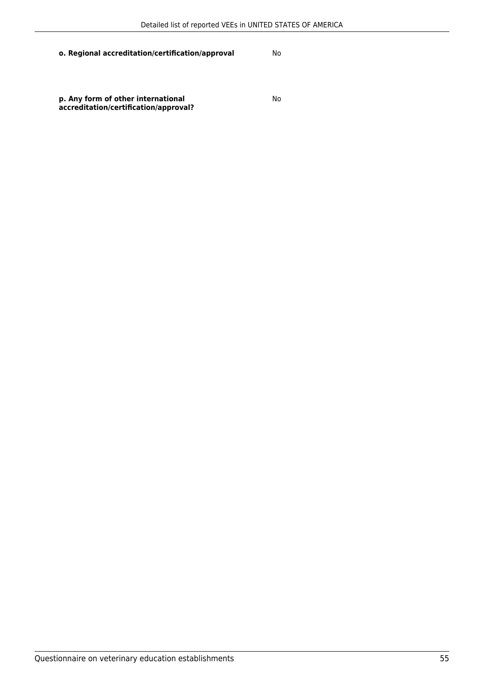**p. Any form of other international accreditation/certification/approval?**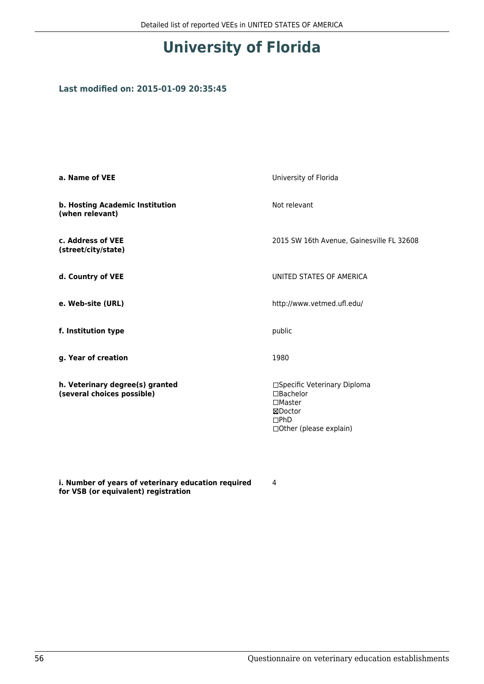## **University of Florida**

#### **Last modified on: 2015-01-09 20:35:45**

| a. Name of VEE                                                | University of Florida                                                                                           |
|---------------------------------------------------------------|-----------------------------------------------------------------------------------------------------------------|
| b. Hosting Academic Institution<br>(when relevant)            | Not relevant                                                                                                    |
| c. Address of VEE<br>(street/city/state)                      | 2015 SW 16th Avenue, Gainesville FL 32608                                                                       |
| d. Country of VEE                                             | UNITED STATES OF AMERICA                                                                                        |
| e. Web-site (URL)                                             | http://www.vetmed.ufl.edu/                                                                                      |
| f. Institution type                                           | public                                                                                                          |
| g. Year of creation                                           | 1980                                                                                                            |
| h. Veterinary degree(s) granted<br>(several choices possible) | □Specific Veterinary Diploma<br>$\Box$ Bachelor<br>$\Box$ Master<br>⊠Doctor<br>DPhD<br>□ Other (please explain) |

**i. Number of years of veterinary education required for VSB (or equivalent) registration**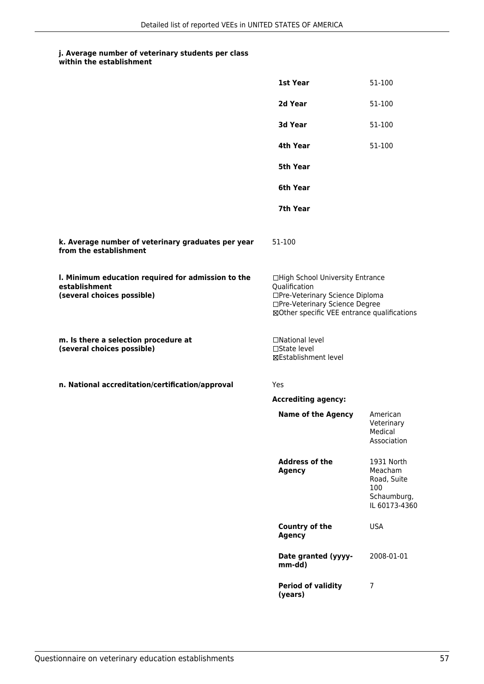| within the establishment |
|--------------------------|
|                          |

|                                                                                                   | 1st Year                                                                                                                                                              | 51-100                                                                      |
|---------------------------------------------------------------------------------------------------|-----------------------------------------------------------------------------------------------------------------------------------------------------------------------|-----------------------------------------------------------------------------|
|                                                                                                   | 2d Year                                                                                                                                                               | 51-100                                                                      |
|                                                                                                   | 3d Year                                                                                                                                                               | 51-100                                                                      |
|                                                                                                   | 4th Year                                                                                                                                                              | 51-100                                                                      |
|                                                                                                   | 5th Year                                                                                                                                                              |                                                                             |
|                                                                                                   | 6th Year                                                                                                                                                              |                                                                             |
|                                                                                                   | 7th Year                                                                                                                                                              |                                                                             |
| k. Average number of veterinary graduates per year<br>from the establishment                      | 51-100                                                                                                                                                                |                                                                             |
| I. Minimum education required for admission to the<br>establishment<br>(several choices possible) | □High School University Entrance<br>Qualification<br>□Pre-Veterinary Science Diploma<br>□Pre-Veterinary Science Degree<br>⊠Other specific VEE entrance qualifications |                                                                             |
| m. Is there a selection procedure at<br>(several choices possible)                                | □National level<br>$\square$ State level<br><b>⊠Establishment level</b>                                                                                               |                                                                             |
| n. National accreditation/certification/approval                                                  | Yes                                                                                                                                                                   |                                                                             |
|                                                                                                   | <b>Accrediting agency:</b>                                                                                                                                            |                                                                             |
|                                                                                                   | <b>Name of the Agency</b>                                                                                                                                             | American<br>Veterinary<br>Medical<br>Association                            |
|                                                                                                   | <b>Address of the</b><br><b>Agency</b>                                                                                                                                | 1931 North<br>Meacham<br>Road, Suite<br>100<br>Schaumburg,<br>IL 60173-4360 |
|                                                                                                   | <b>Country of the</b><br><b>Agency</b>                                                                                                                                | <b>USA</b>                                                                  |
|                                                                                                   | Date granted (yyyy-<br>mm-dd)                                                                                                                                         | 2008-01-01                                                                  |
|                                                                                                   | <b>Period of validity</b><br>(years)                                                                                                                                  | 7                                                                           |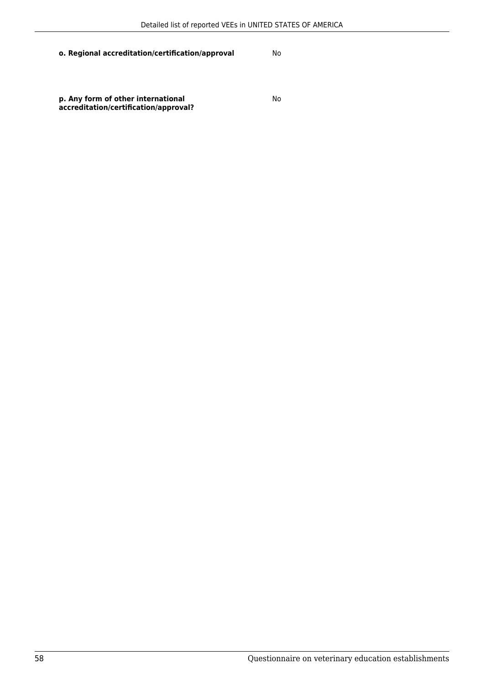**p. Any form of other international accreditation/certification/approval?**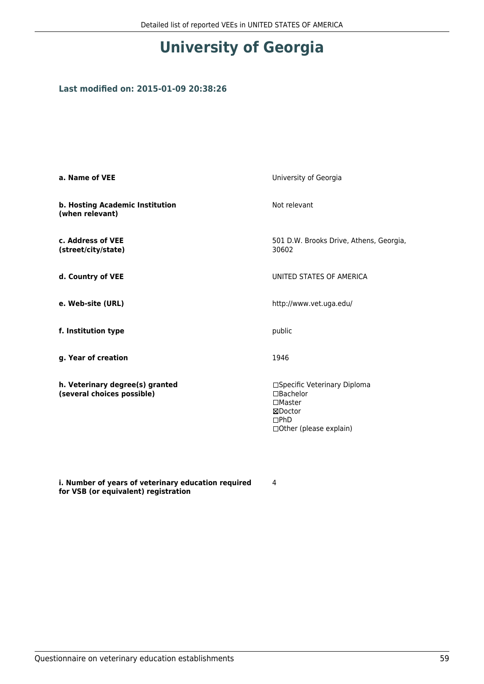# **University of Georgia**

#### **Last modified on: 2015-01-09 20:38:26**

| a. Name of VEE                                                | University of Georgia                                                                                              |
|---------------------------------------------------------------|--------------------------------------------------------------------------------------------------------------------|
| b. Hosting Academic Institution<br>(when relevant)            | Not relevant                                                                                                       |
| c. Address of VEE<br>(street/city/state)                      | 501 D.W. Brooks Drive, Athens, Georgia,<br>30602                                                                   |
| d. Country of VEE                                             | UNITED STATES OF AMERICA                                                                                           |
| e. Web-site (URL)                                             | http://www.vet.uga.edu/                                                                                            |
| f. Institution type                                           | public                                                                                                             |
| g. Year of creation                                           | 1946                                                                                                               |
| h. Veterinary degree(s) granted<br>(several choices possible) | □Specific Veterinary Diploma<br>$\Box$ Bachelor<br>$\square$ Master<br>⊠Doctor<br>DPhD<br>□ Other (please explain) |

**i. Number of years of veterinary education required for VSB (or equivalent) registration**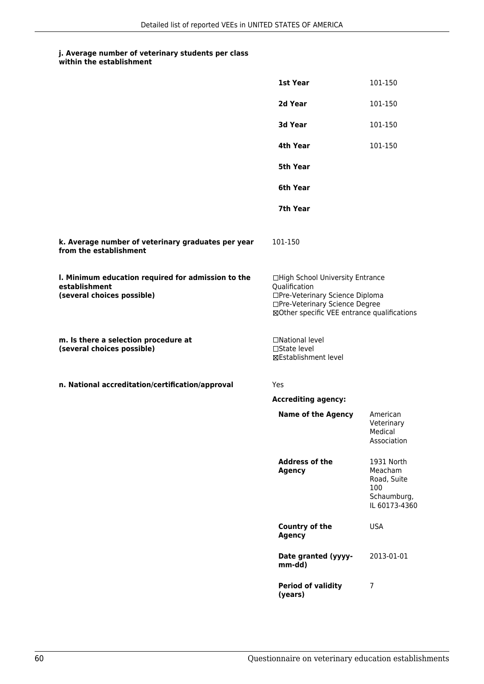| within the establishment |
|--------------------------|
|                          |

|                                                                                                   | 1st Year                                                                                                                                                              | 101-150                                                                     |
|---------------------------------------------------------------------------------------------------|-----------------------------------------------------------------------------------------------------------------------------------------------------------------------|-----------------------------------------------------------------------------|
|                                                                                                   | 2d Year                                                                                                                                                               | 101-150                                                                     |
|                                                                                                   | 3d Year                                                                                                                                                               | 101-150                                                                     |
|                                                                                                   | 4th Year                                                                                                                                                              | 101-150                                                                     |
|                                                                                                   | 5th Year                                                                                                                                                              |                                                                             |
|                                                                                                   | 6th Year                                                                                                                                                              |                                                                             |
|                                                                                                   | 7th Year                                                                                                                                                              |                                                                             |
| k. Average number of veterinary graduates per year<br>from the establishment                      | 101-150                                                                                                                                                               |                                                                             |
| I. Minimum education required for admission to the<br>establishment<br>(several choices possible) | □High School University Entrance<br>Qualification<br>□Pre-Veterinary Science Diploma<br>□Pre-Veterinary Science Degree<br>⊠Other specific VEE entrance qualifications |                                                                             |
| m. Is there a selection procedure at<br>(several choices possible)                                | □National level<br>$\square$ State level<br><b>⊠Establishment level</b>                                                                                               |                                                                             |
| n. National accreditation/certification/approval                                                  | Yes                                                                                                                                                                   |                                                                             |
|                                                                                                   | <b>Accrediting agency:</b>                                                                                                                                            |                                                                             |
|                                                                                                   | <b>Name of the Agency</b>                                                                                                                                             | American<br>Veterinary<br>Medical<br>Association                            |
|                                                                                                   | <b>Address of the</b><br><b>Agency</b>                                                                                                                                | 1931 North<br>Meacham<br>Road, Suite<br>100<br>Schaumburg,<br>IL 60173-4360 |
|                                                                                                   | <b>Country of the</b><br><b>Agency</b>                                                                                                                                | <b>USA</b>                                                                  |
|                                                                                                   | Date granted (yyyy-<br>mm-dd)                                                                                                                                         | 2013-01-01                                                                  |
|                                                                                                   | <b>Period of validity</b><br>(years)                                                                                                                                  | 7                                                                           |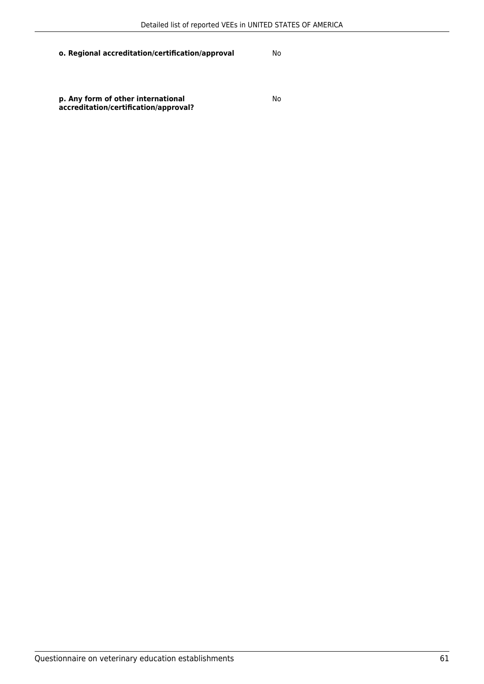**p. Any form of other international accreditation/certification/approval?**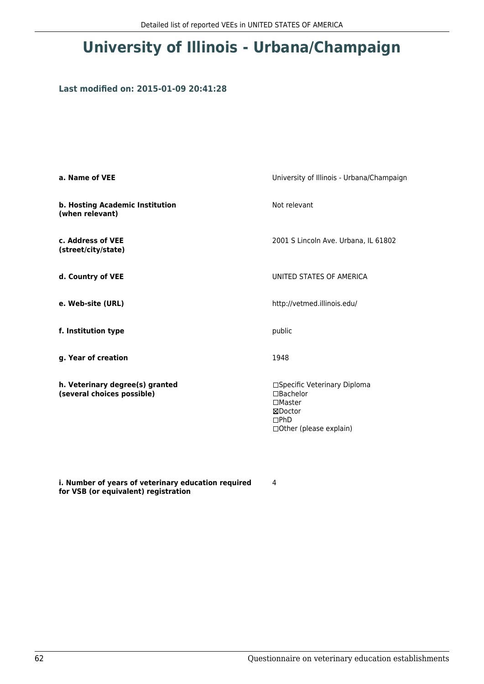## **University of Illinois - Urbana/Champaign**

#### **Last modified on: 2015-01-09 20:41:28**

| a. Name of VEE                                                | University of Illinois - Urbana/Champaign                                                                      |
|---------------------------------------------------------------|----------------------------------------------------------------------------------------------------------------|
| b. Hosting Academic Institution<br>(when relevant)            | Not relevant                                                                                                   |
| c. Address of VEE<br>(street/city/state)                      | 2001 S Lincoln Ave. Urbana, IL 61802                                                                           |
| d. Country of VEE                                             | UNITED STATES OF AMERICA                                                                                       |
| e. Web-site (URL)                                             | http://vetmed.illinois.edu/                                                                                    |
| f. Institution type                                           | public                                                                                                         |
| g. Year of creation                                           | 1948                                                                                                           |
| h. Veterinary degree(s) granted<br>(several choices possible) | □Specific Veterinary Diploma<br>□Bachelor<br>$\Box$ Master<br>⊠Doctor<br>DPhD<br>$\Box$ Other (please explain) |

**i. Number of years of veterinary education required for VSB (or equivalent) registration**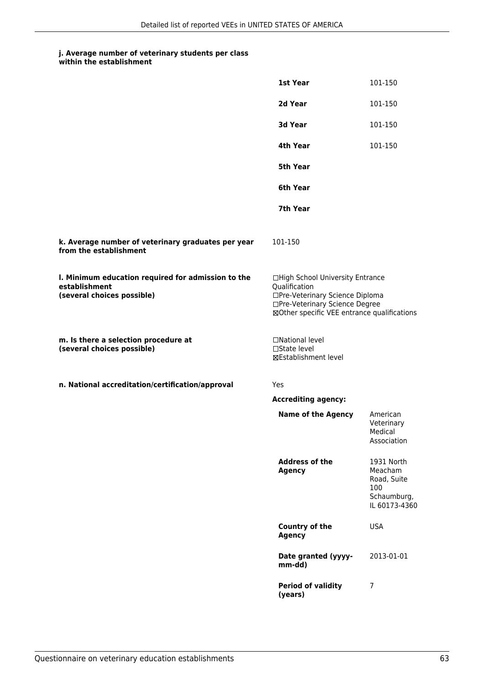| within the establishment |
|--------------------------|
|                          |

|                                                                                                   | 1st Year                                                                                                                                                              | 101-150                                                                     |
|---------------------------------------------------------------------------------------------------|-----------------------------------------------------------------------------------------------------------------------------------------------------------------------|-----------------------------------------------------------------------------|
|                                                                                                   | 2d Year                                                                                                                                                               | 101-150                                                                     |
|                                                                                                   | 3d Year                                                                                                                                                               | 101-150                                                                     |
|                                                                                                   | 4th Year                                                                                                                                                              | 101-150                                                                     |
|                                                                                                   | 5th Year                                                                                                                                                              |                                                                             |
|                                                                                                   | 6th Year                                                                                                                                                              |                                                                             |
|                                                                                                   | 7th Year                                                                                                                                                              |                                                                             |
| k. Average number of veterinary graduates per year<br>from the establishment                      | 101-150                                                                                                                                                               |                                                                             |
| I. Minimum education required for admission to the<br>establishment<br>(several choices possible) | □High School University Entrance<br>Qualification<br>□Pre-Veterinary Science Diploma<br>□Pre-Veterinary Science Degree<br>⊠Other specific VEE entrance qualifications |                                                                             |
| m. Is there a selection procedure at<br>(several choices possible)                                | □National level<br>□State level<br><b>⊠Establishment level</b>                                                                                                        |                                                                             |
| n. National accreditation/certification/approval                                                  | Yes                                                                                                                                                                   |                                                                             |
|                                                                                                   | <b>Accrediting agency:</b>                                                                                                                                            |                                                                             |
|                                                                                                   | <b>Name of the Agency</b>                                                                                                                                             | American<br>Veterinary<br>Medical<br>Association                            |
|                                                                                                   | <b>Address of the</b><br><b>Agency</b>                                                                                                                                | 1931 North<br>Meacham<br>Road, Suite<br>100<br>Schaumburg,<br>IL 60173-4360 |
|                                                                                                   | <b>Country of the</b><br><b>Agency</b>                                                                                                                                | <b>USA</b>                                                                  |
|                                                                                                   | Date granted (yyyy-<br>mm-dd)                                                                                                                                         | 2013-01-01                                                                  |
|                                                                                                   | <b>Period of validity</b><br>(years)                                                                                                                                  | 7                                                                           |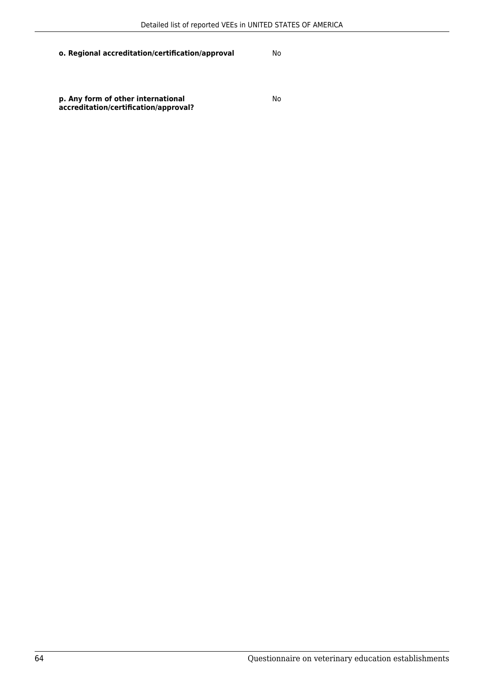**p. Any form of other international accreditation/certification/approval?**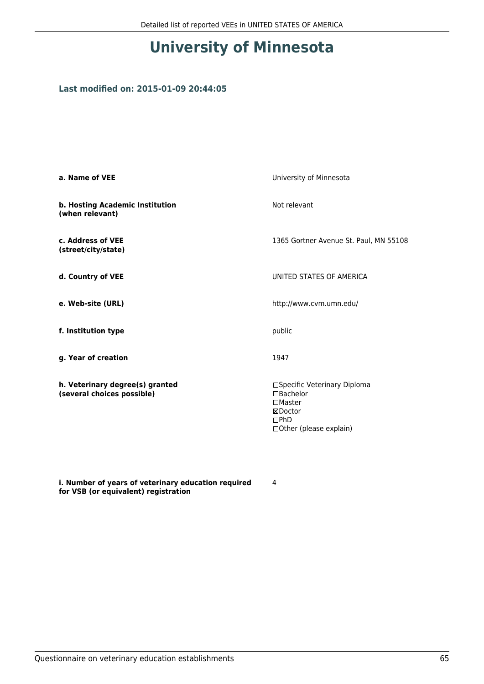## **University of Minnesota**

#### **Last modified on: 2015-01-09 20:44:05**

| a. Name of VEE                                                | University of Minnesota                                                                                            |
|---------------------------------------------------------------|--------------------------------------------------------------------------------------------------------------------|
| b. Hosting Academic Institution<br>(when relevant)            | Not relevant                                                                                                       |
| c. Address of VEE<br>(street/city/state)                      | 1365 Gortner Avenue St. Paul, MN 55108                                                                             |
| d. Country of VEE                                             | UNITED STATES OF AMERICA                                                                                           |
| e. Web-site (URL)                                             | http://www.cvm.umn.edu/                                                                                            |
| f. Institution type                                           | public                                                                                                             |
| g. Year of creation                                           | 1947                                                                                                               |
| h. Veterinary degree(s) granted<br>(several choices possible) | □Specific Veterinary Diploma<br>$\Box$ Bachelor<br>$\square$ Master<br>⊠Doctor<br>DPhD<br>□ Other (please explain) |

**i. Number of years of veterinary education required for VSB (or equivalent) registration**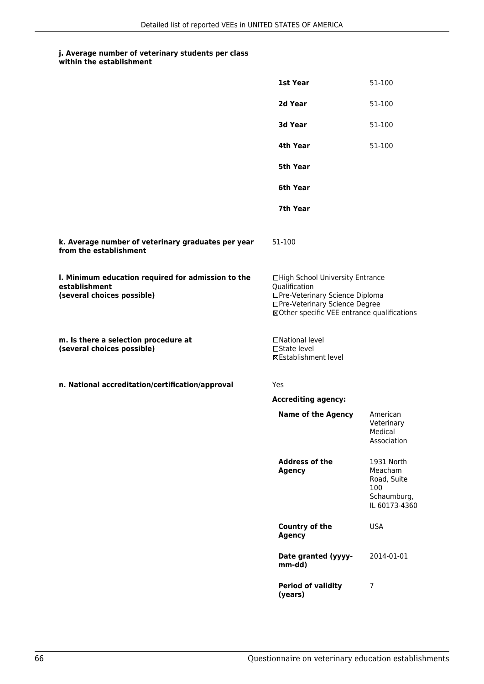#### **j. Average number of veterinary students per class within the establishment**

|                                                                                                   | 1st Year                                                                                                                                                              | 51-100                                                                      |
|---------------------------------------------------------------------------------------------------|-----------------------------------------------------------------------------------------------------------------------------------------------------------------------|-----------------------------------------------------------------------------|
|                                                                                                   | 2d Year                                                                                                                                                               | 51-100                                                                      |
|                                                                                                   | 3d Year                                                                                                                                                               | 51-100                                                                      |
|                                                                                                   | 4th Year                                                                                                                                                              | 51-100                                                                      |
|                                                                                                   | <b>5th Year</b>                                                                                                                                                       |                                                                             |
|                                                                                                   | 6th Year                                                                                                                                                              |                                                                             |
|                                                                                                   | 7th Year                                                                                                                                                              |                                                                             |
| k. Average number of veterinary graduates per year<br>from the establishment                      | 51-100                                                                                                                                                                |                                                                             |
| I. Minimum education required for admission to the<br>establishment<br>(several choices possible) | □High School University Entrance<br>Qualification<br>□Pre-Veterinary Science Diploma<br>□Pre-Veterinary Science Degree<br>⊠Other specific VEE entrance qualifications |                                                                             |
| m. Is there a selection procedure at<br>(several choices possible)                                | □National level<br>□State level<br>⊠Establishment level                                                                                                               |                                                                             |
| n. National accreditation/certification/approval                                                  | Yes                                                                                                                                                                   |                                                                             |
|                                                                                                   | <b>Accrediting agency:</b>                                                                                                                                            |                                                                             |
|                                                                                                   | <b>Name of the Agency</b>                                                                                                                                             | American<br>Veterinary<br>Medical<br>Association                            |
|                                                                                                   | <b>Address of the</b><br><b>Agency</b>                                                                                                                                | 1931 North<br>Meacham<br>Road, Suite<br>100<br>Schaumburg,<br>IL 60173-4360 |
|                                                                                                   | Country of the<br><b>Agency</b>                                                                                                                                       | <b>USA</b>                                                                  |
|                                                                                                   | Date granted (yyyy-<br>mm-dd)                                                                                                                                         | 2014-01-01                                                                  |
|                                                                                                   | <b>Period of validity</b><br>(years)                                                                                                                                  | 7                                                                           |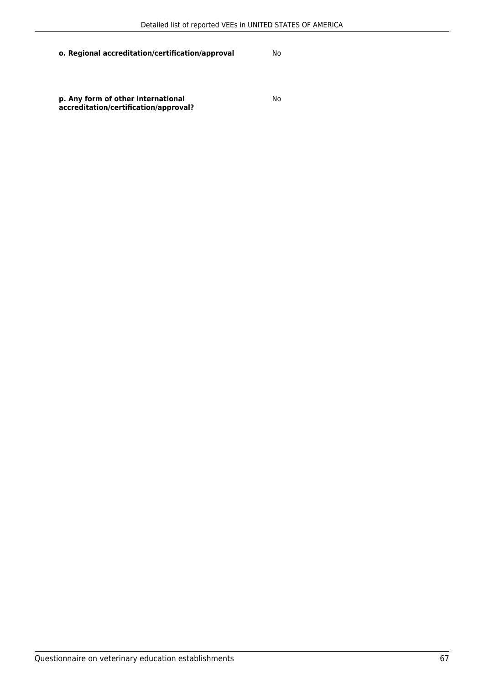**p. Any form of other international accreditation/certification/approval?**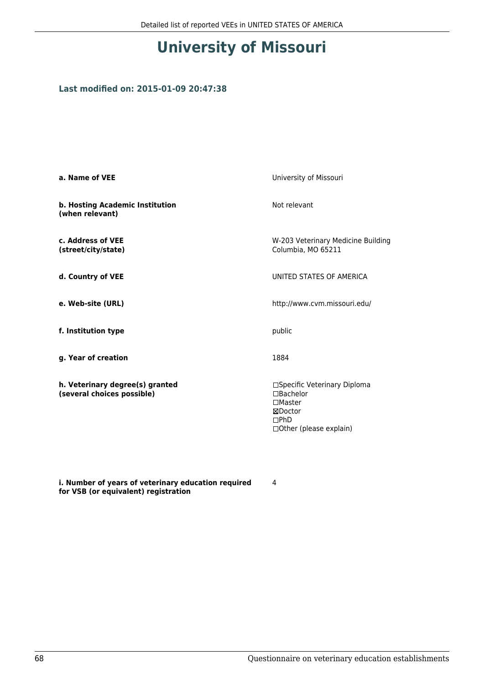## **University of Missouri**

#### **Last modified on: 2015-01-09 20:47:38**

| a. Name of VEE                                                | University of Missouri                                                                                          |
|---------------------------------------------------------------|-----------------------------------------------------------------------------------------------------------------|
| b. Hosting Academic Institution<br>(when relevant)            | Not relevant                                                                                                    |
| c. Address of VEE<br>(street/city/state)                      | W-203 Veterinary Medicine Building<br>Columbia, MO 65211                                                        |
| d. Country of VEE                                             | UNITED STATES OF AMERICA                                                                                        |
| e. Web-site (URL)                                             | http://www.cvm.missouri.edu/                                                                                    |
| f. Institution type                                           | public                                                                                                          |
| g. Year of creation                                           | 1884                                                                                                            |
| h. Veterinary degree(s) granted<br>(several choices possible) | □Specific Veterinary Diploma<br>$\Box$ Bachelor<br>$\Box$ Master<br>⊠Doctor<br>DPhD<br>□ Other (please explain) |

**i. Number of years of veterinary education required for VSB (or equivalent) registration**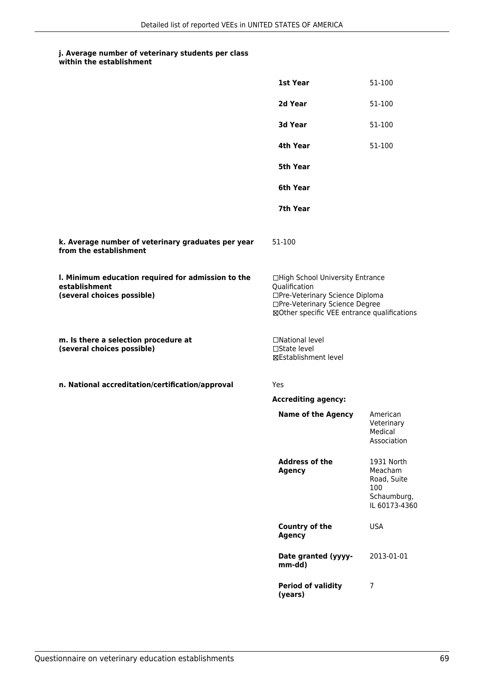| within the establishment |
|--------------------------|
|                          |

|                                                                                                   | 1st Year                                                                                                                                                              | 51-100                                                                      |
|---------------------------------------------------------------------------------------------------|-----------------------------------------------------------------------------------------------------------------------------------------------------------------------|-----------------------------------------------------------------------------|
|                                                                                                   | 2d Year                                                                                                                                                               | 51-100                                                                      |
|                                                                                                   | 3d Year                                                                                                                                                               | 51-100                                                                      |
|                                                                                                   | 4th Year                                                                                                                                                              | 51-100                                                                      |
|                                                                                                   | 5th Year                                                                                                                                                              |                                                                             |
|                                                                                                   | 6th Year                                                                                                                                                              |                                                                             |
|                                                                                                   | 7th Year                                                                                                                                                              |                                                                             |
| k. Average number of veterinary graduates per year<br>from the establishment                      | 51-100                                                                                                                                                                |                                                                             |
| I. Minimum education required for admission to the<br>establishment<br>(several choices possible) | □High School University Entrance<br>Qualification<br>□Pre-Veterinary Science Diploma<br>□Pre-Veterinary Science Degree<br>⊠Other specific VEE entrance qualifications |                                                                             |
| m. Is there a selection procedure at<br>(several choices possible)                                | □National level<br>$\square$ State level<br>⊠Establishment level                                                                                                      |                                                                             |
| n. National accreditation/certification/approval                                                  | Yes                                                                                                                                                                   |                                                                             |
|                                                                                                   | <b>Accrediting agency:</b>                                                                                                                                            |                                                                             |
|                                                                                                   | <b>Name of the Agency</b>                                                                                                                                             | American<br>Veterinary<br>Medical<br>Association                            |
|                                                                                                   | <b>Address of the</b><br><b>Agency</b>                                                                                                                                | 1931 North<br>Meacham<br>Road, Suite<br>100<br>Schaumburg,<br>IL 60173-4360 |
|                                                                                                   | Country of the<br><b>Agency</b>                                                                                                                                       | <b>USA</b>                                                                  |
|                                                                                                   | Date granted (yyyy-<br>mm-dd)                                                                                                                                         | 2013-01-01                                                                  |
|                                                                                                   | <b>Period of validity</b><br>(years)                                                                                                                                  | 7                                                                           |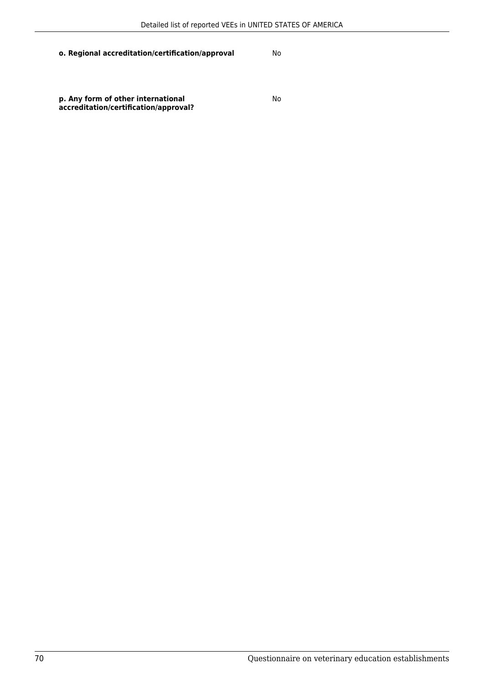**p. Any form of other international accreditation/certification/approval?**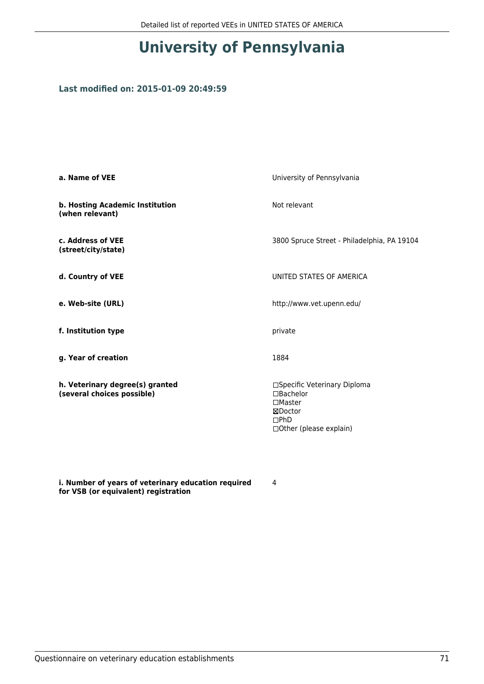# **University of Pennsylvania**

#### **Last modified on: 2015-01-09 20:49:59**

| a. Name of VEE                                                | University of Pennsylvania                                                                                  |
|---------------------------------------------------------------|-------------------------------------------------------------------------------------------------------------|
| b. Hosting Academic Institution<br>(when relevant)            | Not relevant                                                                                                |
| c. Address of VEE<br>(street/city/state)                      | 3800 Spruce Street - Philadelphia, PA 19104                                                                 |
| d. Country of VEE                                             | UNITED STATES OF AMERICA                                                                                    |
| e. Web-site (URL)                                             | http://www.vet.upenn.edu/                                                                                   |
| f. Institution type                                           | private                                                                                                     |
| g. Year of creation                                           | 1884                                                                                                        |
| h. Veterinary degree(s) granted<br>(several choices possible) | □Specific Veterinary Diploma<br>□Bachelor<br>$\square$ Master<br>⊠Doctor<br>DPhD<br>□Other (please explain) |

**i. Number of years of veterinary education required for VSB (or equivalent) registration**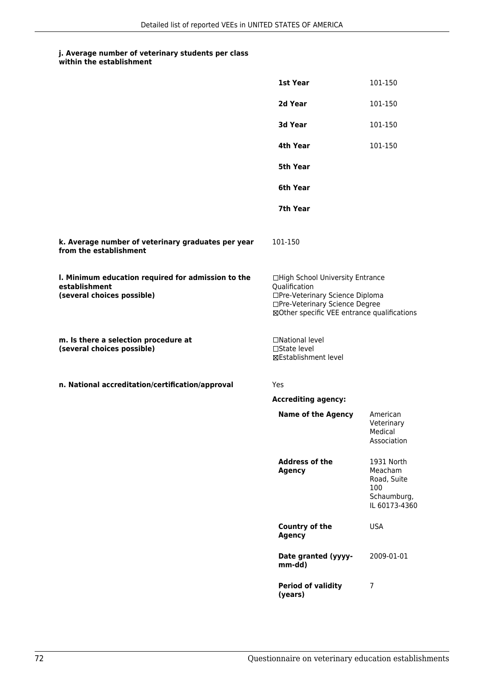|                                                                                                   | 1st Year                                                                                                                                                              | 101-150                                                                     |
|---------------------------------------------------------------------------------------------------|-----------------------------------------------------------------------------------------------------------------------------------------------------------------------|-----------------------------------------------------------------------------|
|                                                                                                   | 2d Year                                                                                                                                                               | 101-150                                                                     |
|                                                                                                   | 3d Year                                                                                                                                                               | 101-150                                                                     |
|                                                                                                   | 4th Year                                                                                                                                                              | 101-150                                                                     |
|                                                                                                   | 5th Year                                                                                                                                                              |                                                                             |
|                                                                                                   | 6th Year                                                                                                                                                              |                                                                             |
|                                                                                                   | 7th Year                                                                                                                                                              |                                                                             |
| k. Average number of veterinary graduates per year<br>from the establishment                      | 101-150                                                                                                                                                               |                                                                             |
| I. Minimum education required for admission to the<br>establishment<br>(several choices possible) | □High School University Entrance<br>Qualification<br>□Pre-Veterinary Science Diploma<br>□Pre-Veterinary Science Degree<br>⊠Other specific VEE entrance qualifications |                                                                             |
| m. Is there a selection procedure at<br>(several choices possible)                                | □National level<br>□State level<br>⊠Establishment level                                                                                                               |                                                                             |
| n. National accreditation/certification/approval                                                  | <b>Yes</b>                                                                                                                                                            |                                                                             |
|                                                                                                   | <b>Accrediting agency:</b>                                                                                                                                            |                                                                             |
|                                                                                                   | <b>Name of the Agency</b>                                                                                                                                             | American<br>Veterinary<br>Medical<br>Association                            |
|                                                                                                   | <b>Address of the</b><br><b>Agency</b>                                                                                                                                | 1931 North<br>Meacham<br>Road, Suite<br>100<br>Schaumburg,<br>IL 60173-4360 |
|                                                                                                   | <b>Country of the</b><br><b>Agency</b>                                                                                                                                | <b>USA</b>                                                                  |
|                                                                                                   | Date granted (yyyy-<br>mm-dd)                                                                                                                                         | 2009-01-01                                                                  |
|                                                                                                   | <b>Period of validity</b><br>(years)                                                                                                                                  | 7                                                                           |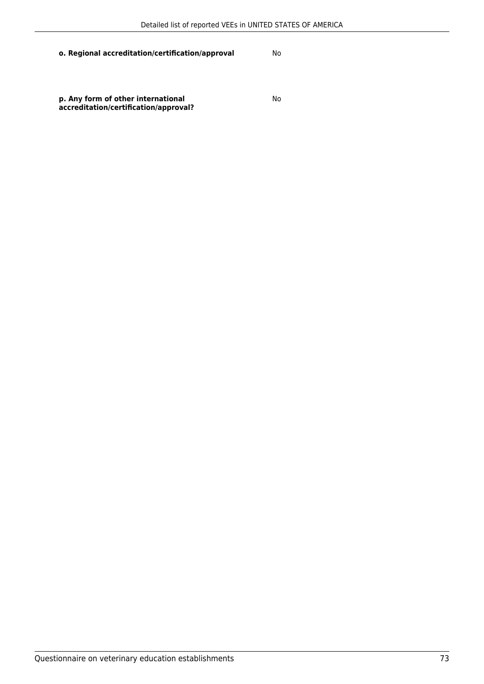**p. Any form of other international accreditation/certification/approval?**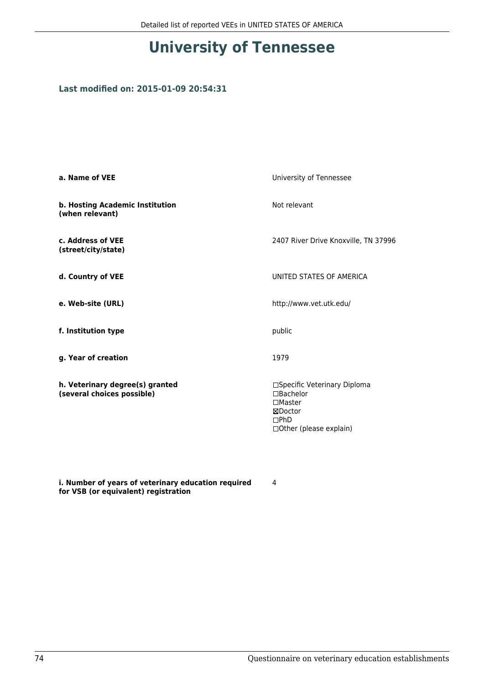# **University of Tennessee**

### **Last modified on: 2015-01-09 20:54:31**

| a. Name of VEE                                                | University of Tennessee                                                                                              |
|---------------------------------------------------------------|----------------------------------------------------------------------------------------------------------------------|
| b. Hosting Academic Institution<br>(when relevant)            | Not relevant                                                                                                         |
| c. Address of VEE<br>(street/city/state)                      | 2407 River Drive Knoxville, TN 37996                                                                                 |
| d. Country of VEE                                             | UNITED STATES OF AMERICA                                                                                             |
| e. Web-site (URL)                                             | http://www.vet.utk.edu/                                                                                              |
| f. Institution type                                           | public                                                                                                               |
| g. Year of creation                                           | 1979                                                                                                                 |
| h. Veterinary degree(s) granted<br>(several choices possible) | □Specific Veterinary Diploma<br>$\Box$ Bachelor<br>$\Box$ Master<br>⊠Doctor<br>DPhD<br>$\Box$ Other (please explain) |

**i. Number of years of veterinary education required for VSB (or equivalent) registration**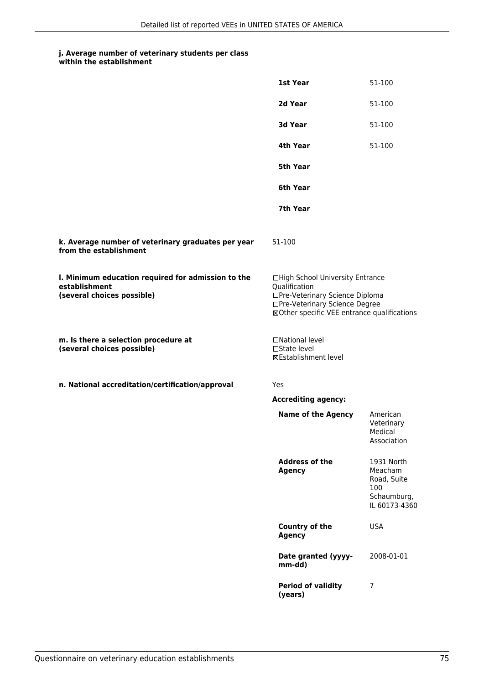### **j. Average number of veterinary students per class**

| within the establishment |
|--------------------------|
|                          |

|                                                                                                   | 1st Year                                                                                                                                                              | 51-100                                                                      |
|---------------------------------------------------------------------------------------------------|-----------------------------------------------------------------------------------------------------------------------------------------------------------------------|-----------------------------------------------------------------------------|
|                                                                                                   | 2d Year                                                                                                                                                               | 51-100                                                                      |
|                                                                                                   | 3d Year                                                                                                                                                               | 51-100                                                                      |
|                                                                                                   | 4th Year                                                                                                                                                              | 51-100                                                                      |
|                                                                                                   | 5th Year                                                                                                                                                              |                                                                             |
|                                                                                                   | 6th Year                                                                                                                                                              |                                                                             |
|                                                                                                   | 7th Year                                                                                                                                                              |                                                                             |
| k. Average number of veterinary graduates per year<br>from the establishment                      | 51-100                                                                                                                                                                |                                                                             |
| I. Minimum education required for admission to the<br>establishment<br>(several choices possible) | □High School University Entrance<br>Qualification<br>□Pre-Veterinary Science Diploma<br>□Pre-Veterinary Science Degree<br>⊠Other specific VEE entrance qualifications |                                                                             |
| m. Is there a selection procedure at<br>(several choices possible)                                | □National level<br>$\square$ State level<br><b>⊠Establishment level</b>                                                                                               |                                                                             |
| n. National accreditation/certification/approval                                                  | Yes                                                                                                                                                                   |                                                                             |
|                                                                                                   | <b>Accrediting agency:</b>                                                                                                                                            |                                                                             |
|                                                                                                   | <b>Name of the Agency</b>                                                                                                                                             | American<br>Veterinary<br>Medical<br>Association                            |
|                                                                                                   | <b>Address of the</b><br><b>Agency</b>                                                                                                                                | 1931 North<br>Meacham<br>Road, Suite<br>100<br>Schaumburg,<br>IL 60173-4360 |
|                                                                                                   | Country of the<br><b>Agency</b>                                                                                                                                       | <b>USA</b>                                                                  |
|                                                                                                   | Date granted (yyyy-<br>mm-dd)                                                                                                                                         | 2008-01-01                                                                  |
|                                                                                                   | <b>Period of validity</b><br>(years)                                                                                                                                  | 7                                                                           |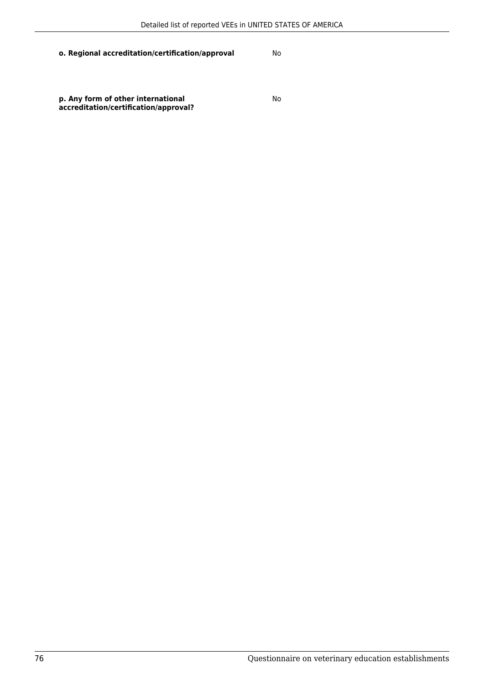**p. Any form of other international accreditation/certification/approval?**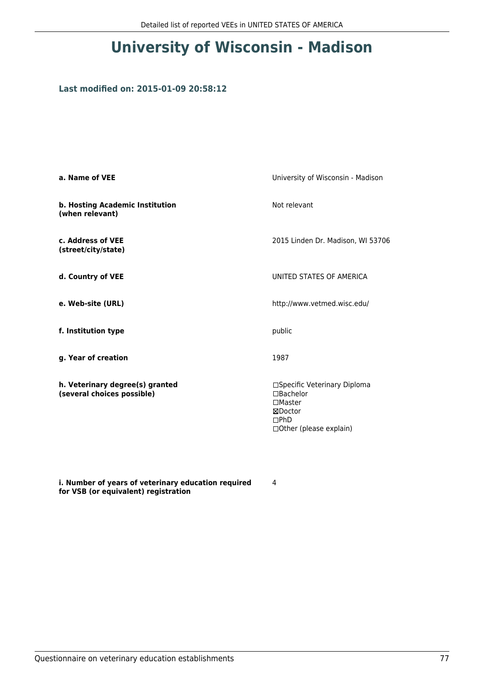# **University of Wisconsin - Madison**

#### **Last modified on: 2015-01-09 20:58:12**

| a. Name of VEE                                                | University of Wisconsin - Madison                                                                                 |
|---------------------------------------------------------------|-------------------------------------------------------------------------------------------------------------------|
| b. Hosting Academic Institution<br>(when relevant)            | Not relevant                                                                                                      |
| c. Address of VEE<br>(street/city/state)                      | 2015 Linden Dr. Madison, WI 53706                                                                                 |
| d. Country of VEE                                             | UNITED STATES OF AMERICA                                                                                          |
| e. Web-site (URL)                                             | http://www.vetmed.wisc.edu/                                                                                       |
| f. Institution type                                           | public                                                                                                            |
| g. Year of creation                                           | 1987                                                                                                              |
| h. Veterinary degree(s) granted<br>(several choices possible) | □Specific Veterinary Diploma<br>□Bachelor<br>$\square$ Master<br>⊠Doctor<br>DPhD<br>$\Box$ Other (please explain) |

**i. Number of years of veterinary education required for VSB (or equivalent) registration**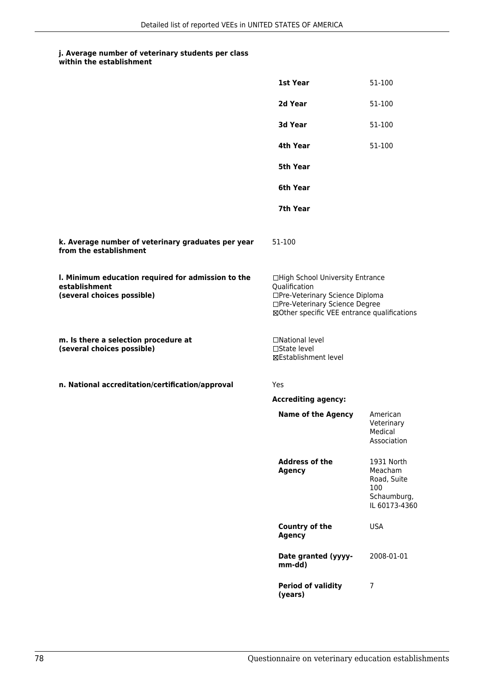#### **j. Average number of veterinary students per class within the establishment**

|                                                                                                   | 1st Year                                                                                                                                                              | 51-100                                                                      |
|---------------------------------------------------------------------------------------------------|-----------------------------------------------------------------------------------------------------------------------------------------------------------------------|-----------------------------------------------------------------------------|
|                                                                                                   | 2d Year                                                                                                                                                               | 51-100                                                                      |
|                                                                                                   | 3d Year                                                                                                                                                               | 51-100                                                                      |
|                                                                                                   | 4th Year                                                                                                                                                              | 51-100                                                                      |
|                                                                                                   | <b>5th Year</b>                                                                                                                                                       |                                                                             |
|                                                                                                   | 6th Year                                                                                                                                                              |                                                                             |
|                                                                                                   | 7th Year                                                                                                                                                              |                                                                             |
| k. Average number of veterinary graduates per year<br>from the establishment                      | 51-100                                                                                                                                                                |                                                                             |
| I. Minimum education required for admission to the<br>establishment<br>(several choices possible) | □High School University Entrance<br>Qualification<br>□Pre-Veterinary Science Diploma<br>□Pre-Veterinary Science Degree<br>⊠Other specific VEE entrance qualifications |                                                                             |
| m. Is there a selection procedure at<br>(several choices possible)                                | □National level<br>□State level<br>⊠Establishment level                                                                                                               |                                                                             |
| n. National accreditation/certification/approval                                                  | Yes                                                                                                                                                                   |                                                                             |
|                                                                                                   | <b>Accrediting agency:</b>                                                                                                                                            |                                                                             |
|                                                                                                   | <b>Name of the Agency</b>                                                                                                                                             | American<br>Veterinary<br>Medical<br>Association                            |
|                                                                                                   | <b>Address of the</b><br><b>Agency</b>                                                                                                                                | 1931 North<br>Meacham<br>Road, Suite<br>100<br>Schaumburg,<br>IL 60173-4360 |
|                                                                                                   | Country of the<br><b>Agency</b>                                                                                                                                       | <b>USA</b>                                                                  |
|                                                                                                   | Date granted (yyyy-<br>mm-dd)                                                                                                                                         | 2008-01-01                                                                  |
|                                                                                                   | <b>Period of validity</b><br>(years)                                                                                                                                  | 7                                                                           |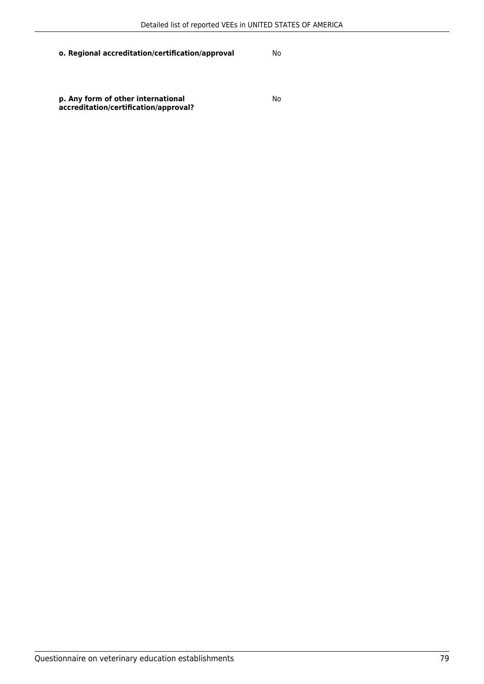**p. Any form of other international accreditation/certification/approval?**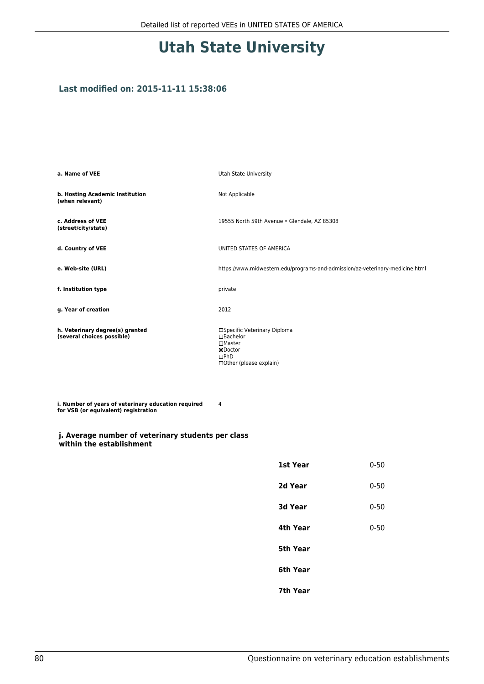## **Utah State University**

#### **Last modified on: 2015-11-11 15:38:06**

| a. Name of VEE                                                | Utah State University                                                                                           |
|---------------------------------------------------------------|-----------------------------------------------------------------------------------------------------------------|
| b. Hosting Academic Institution<br>(when relevant)            | Not Applicable                                                                                                  |
| c. Address of VEE<br>(street/city/state)                      | 19555 North 59th Avenue . Glendale, AZ 85308                                                                    |
| d. Country of VEE                                             | UNITED STATES OF AMERICA                                                                                        |
| e. Web-site (URL)                                             | https://www.midwestern.edu/programs-and-admission/az-veterinary-medicine.html                                   |
| f. Institution type                                           | private                                                                                                         |
| g. Year of creation                                           | 2012                                                                                                            |
| h. Veterinary degree(s) granted<br>(several choices possible) | □Specific Veterinary Diploma<br>$\Box$ Bachelor<br>□Master<br>⊠Doctor<br>$\Box$ PhD<br>□ Other (please explain) |

**i. Number of years of veterinary education required for VSB (or equivalent) registration** 4

#### **j. Average number of veterinary students per class within the establishment**

| 1st Year       | $0 - 50$ |
|----------------|----------|
| 2d Year        | $0 - 50$ |
| <b>3d Year</b> | $0 - 50$ |
| 4th Year       | $0 - 50$ |
| 5th Year       |          |
| 6th Year       |          |
| 7th Year       |          |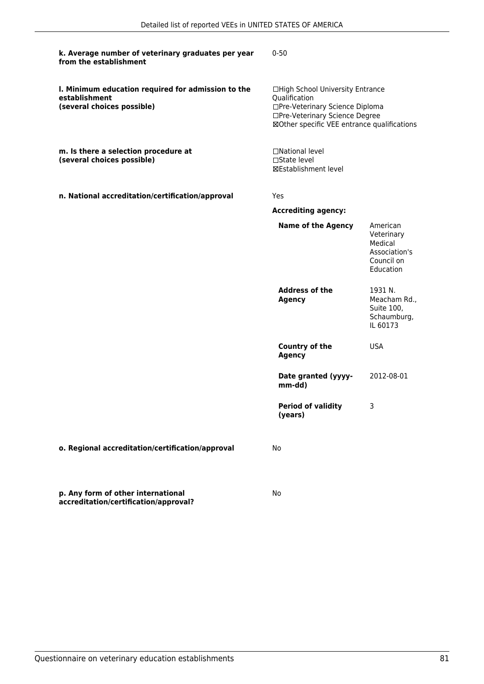| k. Average number of veterinary graduates per year<br>from the establishment                      | $0 - 50$                                                                                                                                                              |                                                                               |
|---------------------------------------------------------------------------------------------------|-----------------------------------------------------------------------------------------------------------------------------------------------------------------------|-------------------------------------------------------------------------------|
| I. Minimum education required for admission to the<br>establishment<br>(several choices possible) | □High School University Entrance<br>Qualification<br>□Pre-Veterinary Science Diploma<br>□Pre-Veterinary Science Degree<br>⊠Other specific VEE entrance qualifications |                                                                               |
| m. Is there a selection procedure at<br>(several choices possible)                                | □National level<br>□State level<br>⊠Establishment level                                                                                                               |                                                                               |
| n. National accreditation/certification/approval                                                  | Yes                                                                                                                                                                   |                                                                               |
|                                                                                                   | <b>Accrediting agency:</b>                                                                                                                                            |                                                                               |
|                                                                                                   | <b>Name of the Agency</b>                                                                                                                                             | American<br>Veterinary<br>Medical<br>Association's<br>Council on<br>Education |
|                                                                                                   | <b>Address of the</b><br><b>Agency</b>                                                                                                                                | 1931 N.<br>Meacham Rd.,<br>Suite 100,<br>Schaumburg,<br>IL 60173              |
|                                                                                                   | <b>Country of the</b><br><b>Agency</b>                                                                                                                                | <b>USA</b>                                                                    |
|                                                                                                   | Date granted (yyyy-<br>mm-dd)                                                                                                                                         | 2012-08-01                                                                    |
|                                                                                                   | <b>Period of validity</b><br>(years)                                                                                                                                  | 3.                                                                            |
| o. Regional accreditation/certification/approval                                                  | No                                                                                                                                                                    |                                                                               |
| p. Any form of other international<br>accreditation/certification/approval?                       | No                                                                                                                                                                    |                                                                               |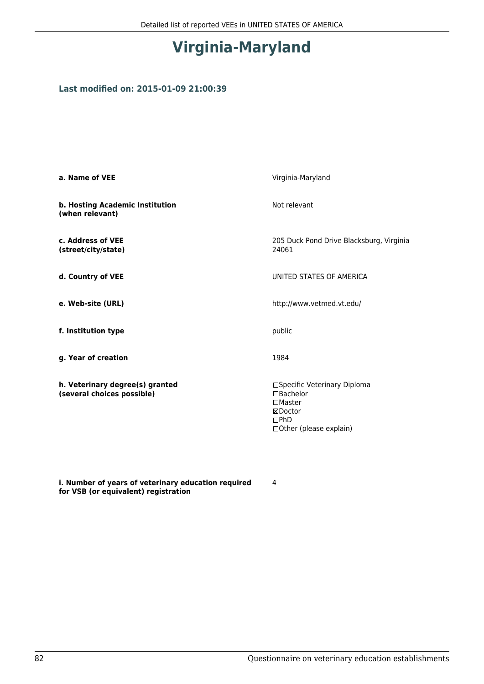# **Virginia-Maryland**

### **Last modified on: 2015-01-09 21:00:39**

| a. Name of VEE                                                | Virginia-Maryland                                                                                                  |
|---------------------------------------------------------------|--------------------------------------------------------------------------------------------------------------------|
| b. Hosting Academic Institution<br>(when relevant)            | Not relevant                                                                                                       |
| c. Address of VEE<br>(street/city/state)                      | 205 Duck Pond Drive Blacksburg, Virginia<br>24061                                                                  |
| d. Country of VEE                                             | UNITED STATES OF AMERICA                                                                                           |
| e. Web-site (URL)                                             | http://www.vetmed.vt.edu/                                                                                          |
| f. Institution type                                           | public                                                                                                             |
| g. Year of creation                                           | 1984                                                                                                               |
| h. Veterinary degree(s) granted<br>(several choices possible) | □Specific Veterinary Diploma<br>$\Box$ Bachelor<br>$\square$ Master<br>⊠Doctor<br>DPhD<br>□ Other (please explain) |

**i. Number of years of veterinary education required for VSB (or equivalent) registration**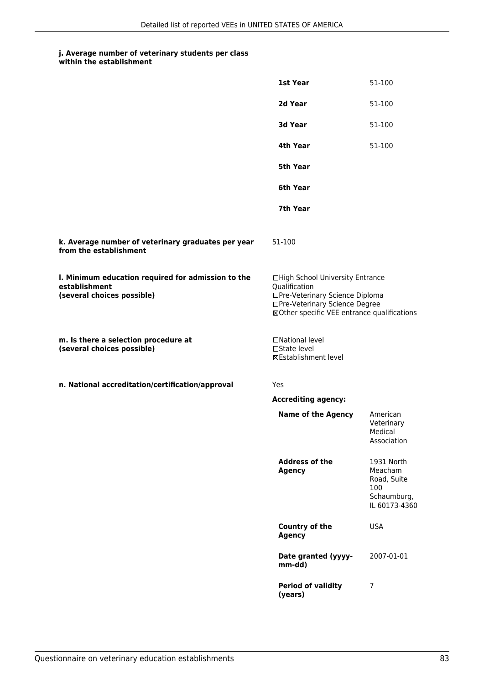### **j. Average number of veterinary students per class**

| within the establishment |
|--------------------------|
|                          |

|                                                                                                   | 1st Year                                                                                                                                                              | 51-100                                                                      |
|---------------------------------------------------------------------------------------------------|-----------------------------------------------------------------------------------------------------------------------------------------------------------------------|-----------------------------------------------------------------------------|
|                                                                                                   | 2d Year                                                                                                                                                               | 51-100                                                                      |
|                                                                                                   | 3d Year                                                                                                                                                               | 51-100                                                                      |
|                                                                                                   | 4th Year                                                                                                                                                              | 51-100                                                                      |
|                                                                                                   | 5th Year                                                                                                                                                              |                                                                             |
|                                                                                                   | 6th Year                                                                                                                                                              |                                                                             |
|                                                                                                   | 7th Year                                                                                                                                                              |                                                                             |
| k. Average number of veterinary graduates per year<br>from the establishment                      | 51-100                                                                                                                                                                |                                                                             |
| I. Minimum education required for admission to the<br>establishment<br>(several choices possible) | □High School University Entrance<br>Qualification<br>□Pre-Veterinary Science Diploma<br>□Pre-Veterinary Science Degree<br>⊠Other specific VEE entrance qualifications |                                                                             |
| m. Is there a selection procedure at<br>(several choices possible)                                | □National level<br>$\square$ State level<br><b>⊠Establishment level</b>                                                                                               |                                                                             |
| n. National accreditation/certification/approval                                                  | Yes                                                                                                                                                                   |                                                                             |
|                                                                                                   | <b>Accrediting agency:</b>                                                                                                                                            |                                                                             |
|                                                                                                   | <b>Name of the Agency</b>                                                                                                                                             | American<br>Veterinary<br>Medical<br>Association                            |
|                                                                                                   | <b>Address of the</b><br><b>Agency</b>                                                                                                                                | 1931 North<br>Meacham<br>Road, Suite<br>100<br>Schaumburg,<br>IL 60173-4360 |
|                                                                                                   | Country of the<br><b>Agency</b>                                                                                                                                       | <b>USA</b>                                                                  |
|                                                                                                   | Date granted (yyyy-<br>mm-dd)                                                                                                                                         | 2007-01-01                                                                  |
|                                                                                                   | <b>Period of validity</b><br>(years)                                                                                                                                  | 7                                                                           |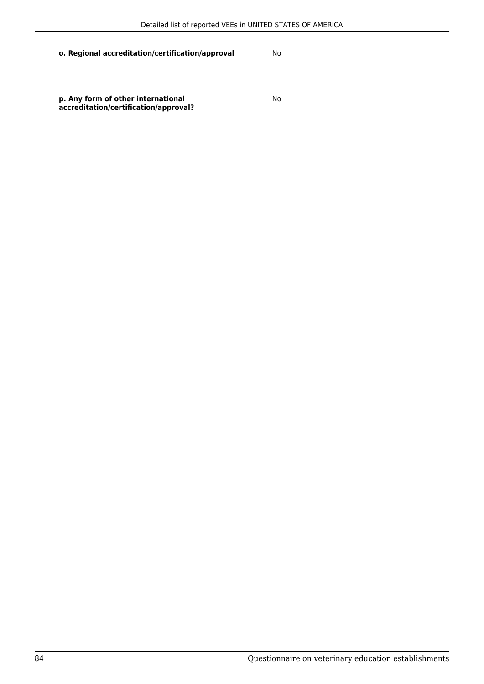**p. Any form of other international accreditation/certification/approval?**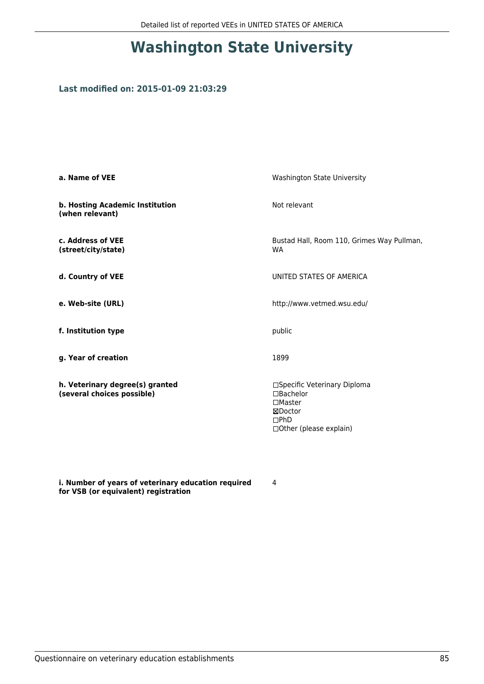# **Washington State University**

### **Last modified on: 2015-01-09 21:03:29**

| a. Name of VEE                                                | Washington State University                                                                                  |
|---------------------------------------------------------------|--------------------------------------------------------------------------------------------------------------|
| b. Hosting Academic Institution<br>(when relevant)            | Not relevant                                                                                                 |
| c. Address of VEE<br>(street/city/state)                      | Bustad Hall, Room 110, Grimes Way Pullman,<br><b>WA</b>                                                      |
| d. Country of VEE                                             | UNITED STATES OF AMERICA                                                                                     |
| e. Web-site (URL)                                             | http://www.vetmed.wsu.edu/                                                                                   |
| f. Institution type                                           | public                                                                                                       |
| g. Year of creation                                           | 1899                                                                                                         |
| h. Veterinary degree(s) granted<br>(several choices possible) | □Specific Veterinary Diploma<br>□Bachelor<br>$\square$ Master<br>⊠Doctor<br>DPhD<br>□ Other (please explain) |

**i. Number of years of veterinary education required for VSB (or equivalent) registration**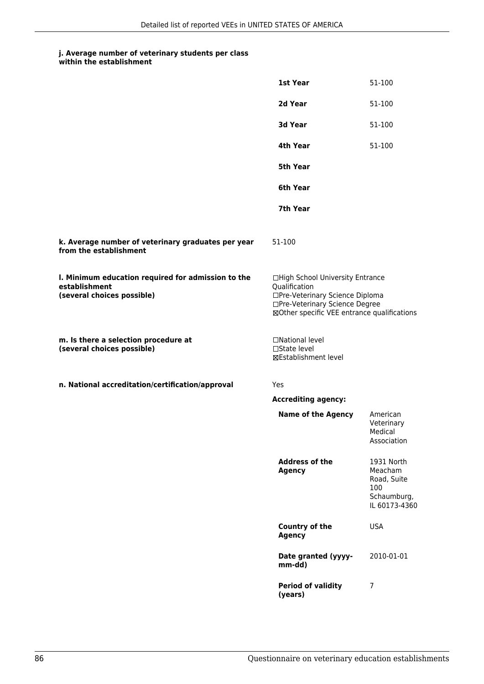#### **j. Average number of veterinary students per class within the establishment**

|                                                                                                   | 1st Year                                                                                                                                                              | 51-100                                                                      |
|---------------------------------------------------------------------------------------------------|-----------------------------------------------------------------------------------------------------------------------------------------------------------------------|-----------------------------------------------------------------------------|
|                                                                                                   | 2d Year                                                                                                                                                               | 51-100                                                                      |
|                                                                                                   | 3d Year                                                                                                                                                               | 51-100                                                                      |
|                                                                                                   | 4th Year                                                                                                                                                              | 51-100                                                                      |
|                                                                                                   | 5th Year                                                                                                                                                              |                                                                             |
|                                                                                                   | 6th Year                                                                                                                                                              |                                                                             |
|                                                                                                   | 7th Year                                                                                                                                                              |                                                                             |
| k. Average number of veterinary graduates per year<br>from the establishment                      | 51-100                                                                                                                                                                |                                                                             |
| I. Minimum education required for admission to the<br>establishment<br>(several choices possible) | □High School University Entrance<br>Qualification<br>□Pre-Veterinary Science Diploma<br>□Pre-Veterinary Science Degree<br>⊠Other specific VEE entrance qualifications |                                                                             |
| m. Is there a selection procedure at<br>(several choices possible)                                | □National level<br>□State level<br>⊠Establishment level                                                                                                               |                                                                             |
| n. National accreditation/certification/approval                                                  | Yes                                                                                                                                                                   |                                                                             |
|                                                                                                   | <b>Accrediting agency:</b>                                                                                                                                            |                                                                             |
|                                                                                                   | <b>Name of the Agency</b>                                                                                                                                             | American<br>Veterinary<br>Medical<br>Association                            |
|                                                                                                   | <b>Address of the</b><br><b>Agency</b>                                                                                                                                | 1931 North<br>Meacham<br>Road, Suite<br>100<br>Schaumburg,<br>IL 60173-4360 |
|                                                                                                   | Country of the<br><b>Agency</b>                                                                                                                                       | <b>USA</b>                                                                  |
|                                                                                                   | Date granted (yyyy-<br>mm-dd)                                                                                                                                         | 2010-01-01                                                                  |
|                                                                                                   | <b>Period of validity</b><br>(years)                                                                                                                                  | $\overline{7}$                                                              |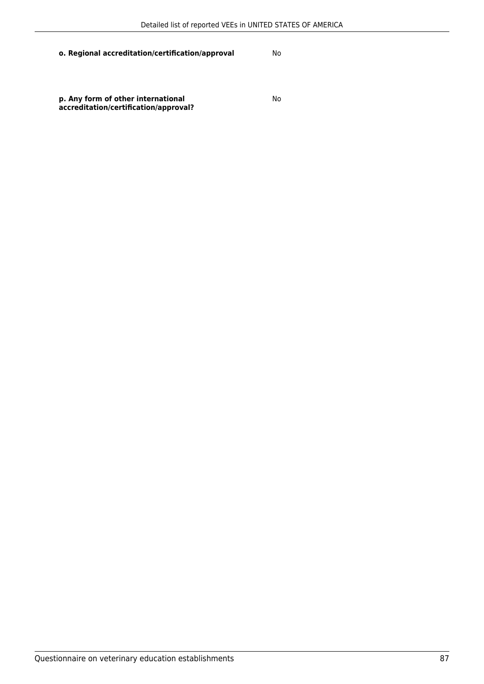**p. Any form of other international accreditation/certification/approval?**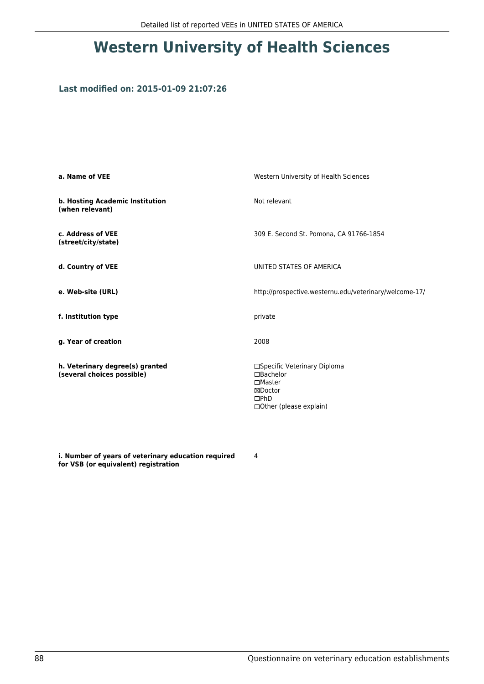# **Western University of Health Sciences**

### **Last modified on: 2015-01-09 21:07:26**

| a. Name of VEE                                                | Western University of Health Sciences                                                                             |  |
|---------------------------------------------------------------|-------------------------------------------------------------------------------------------------------------------|--|
| b. Hosting Academic Institution<br>(when relevant)            | Not relevant                                                                                                      |  |
| c. Address of VEE<br>(street/city/state)                      | 309 E. Second St. Pomona, CA 91766-1854                                                                           |  |
| d. Country of VEE                                             | UNITED STATES OF AMERICA                                                                                          |  |
| e. Web-site (URL)                                             | http://prospective.westernu.edu/veterinary/welcome-17/                                                            |  |
| f. Institution type                                           | private                                                                                                           |  |
| g. Year of creation                                           | 2008                                                                                                              |  |
| h. Veterinary degree(s) granted<br>(several choices possible) | □Specific Veterinary Diploma<br>□Bachelor<br>$\square$ Master<br>⊠Doctor<br>$\Box$ PhD<br>□Other (please explain) |  |

**i. Number of years of veterinary education required for VSB (or equivalent) registration**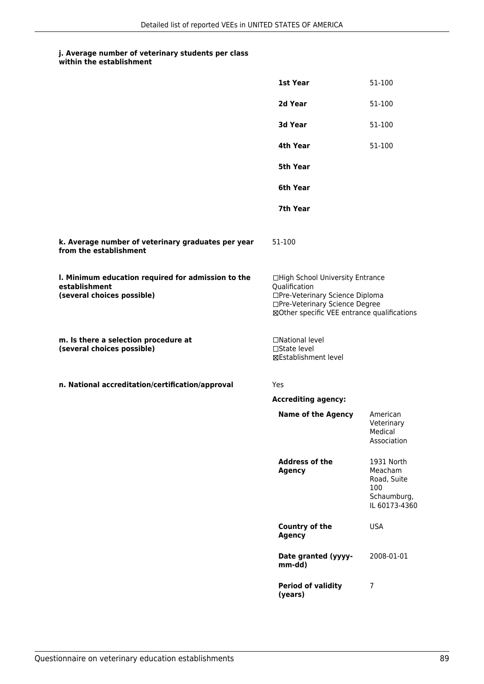### **j. Average number of veterinary students per class**

| within the establishment |
|--------------------------|
|                          |

|                                                                                                   | 1st Year                                                                                                                                                              | 51-100                                                                      |
|---------------------------------------------------------------------------------------------------|-----------------------------------------------------------------------------------------------------------------------------------------------------------------------|-----------------------------------------------------------------------------|
|                                                                                                   | 2d Year                                                                                                                                                               | 51-100                                                                      |
|                                                                                                   | 3d Year                                                                                                                                                               | 51-100                                                                      |
|                                                                                                   | 4th Year                                                                                                                                                              | 51-100                                                                      |
|                                                                                                   | 5th Year                                                                                                                                                              |                                                                             |
|                                                                                                   | 6th Year                                                                                                                                                              |                                                                             |
|                                                                                                   | 7th Year                                                                                                                                                              |                                                                             |
| k. Average number of veterinary graduates per year<br>from the establishment                      | 51-100                                                                                                                                                                |                                                                             |
| I. Minimum education required for admission to the<br>establishment<br>(several choices possible) | □High School University Entrance<br>Qualification<br>□Pre-Veterinary Science Diploma<br>□Pre-Veterinary Science Degree<br>⊠Other specific VEE entrance qualifications |                                                                             |
| m. Is there a selection procedure at<br>(several choices possible)                                | □National level<br>$\square$ State level<br><b>⊠Establishment level</b>                                                                                               |                                                                             |
| n. National accreditation/certification/approval                                                  | Yes                                                                                                                                                                   |                                                                             |
|                                                                                                   | <b>Accrediting agency:</b>                                                                                                                                            |                                                                             |
|                                                                                                   | <b>Name of the Agency</b>                                                                                                                                             | American<br>Veterinary<br>Medical<br>Association                            |
|                                                                                                   | <b>Address of the</b><br><b>Agency</b>                                                                                                                                | 1931 North<br>Meacham<br>Road, Suite<br>100<br>Schaumburg,<br>IL 60173-4360 |
|                                                                                                   | Country of the<br><b>Agency</b>                                                                                                                                       | <b>USA</b>                                                                  |
|                                                                                                   | Date granted (yyyy-<br>mm-dd)                                                                                                                                         | 2008-01-01                                                                  |
|                                                                                                   | <b>Period of validity</b><br>(years)                                                                                                                                  | 7                                                                           |